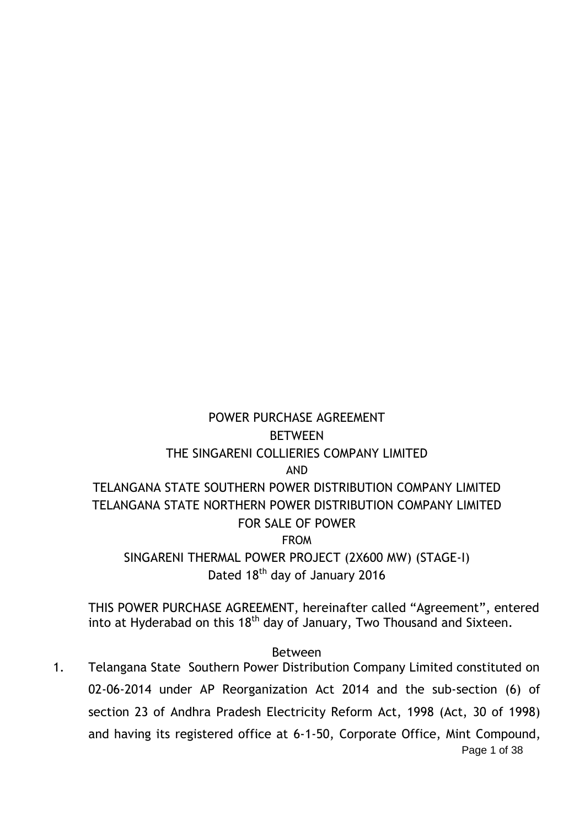# POWER PURCHASE AGREEMENT **BETWEEN** THE SINGARENI COLLIERIES COMPANY LIMITED AND TELANGANA STATE SOUTHERN POWER DISTRIBUTION COMPANY LIMITED TELANGANA STATE NORTHERN POWER DISTRIBUTION COMPANY LIMITED FOR SALE OF POWER FROM SINGARENI THERMAL POWER PROJECT (2X600 MW) (STAGE-I) Dated 18<sup>th</sup> day of January 2016

THIS POWER PURCHASE AGREEMENT, hereinafter called "Agreement", entered into at Hyderabad on this  $18<sup>th</sup>$  day of January, Two Thousand and Sixteen.

Between

Page 1 of 38 1. Telangana State Southern Power Distribution Company Limited constituted on 02-06-2014 under AP Reorganization Act 2014 and the sub-section (6) of section 23 of Andhra Pradesh Electricity Reform Act, 1998 (Act, 30 of 1998) and having its registered office at 6-1-50, Corporate Office, Mint Compound,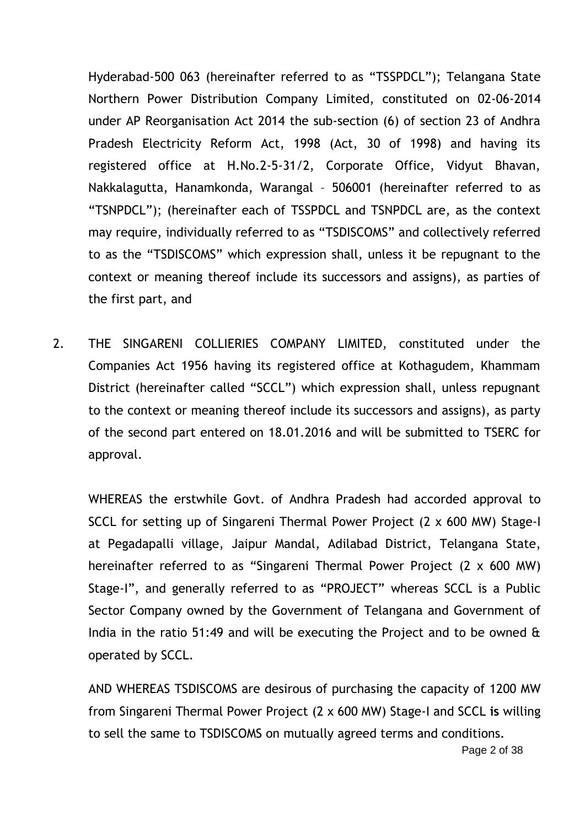Hyderabad-500 063 (hereinafter referred to as "TSSPDCL"); Telangana State Northern Power Distribution Company Limited, constituted on 02-06-2014 under AP Reorganisation Act 2014 the sub-section (6) of section 23 of Andhra Pradesh Electricity Reform Act, 1998 (Act, 30 of 1998) and having its registered office at H.No.2-5-31/2, Corporate Office, Vidyut Bhavan, Nakkalagutta, Hanamkonda, Warangal – 506001 (hereinafter referred to as "TSNPDCL"); (hereinafter each of TSSPDCL and TSNPDCL are, as the context may require, individually referred to as "TSDISCOMS" and collectively referred to as the "TSDISCOMS" which expression shall, unless it be repugnant to the context or meaning thereof include its successors and assigns), as parties of the first part, and

2. THE SINGARENI COLLIERIES COMPANY LIMITED, constituted under the Companies Act 1956 having its registered office at Kothagudem, Khammam District (hereinafter called "SCCL") which expression shall, unless repugnant to the context or meaning thereof include its successors and assigns), as party of the second part entered on 18.01.2016 and will be submitted to TSERC for approval.

WHEREAS the erstwhile Govt. of Andhra Pradesh had accorded approval to SCCL for setting up of Singareni Thermal Power Project (2 x 600 MW) Stage-I at Pegadapalli village, Jaipur Mandal, Adilabad District, Telangana State, hereinafter referred to as "Singareni Thermal Power Project (2 x 600 MW) Stage-I", and generally referred to as "PROJECT" whereas SCCL is a Public Sector Company owned by the Government of Telangana and Government of India in the ratio 51:49 and will be executing the Project and to be owned & operated by SCCL.

AND WHEREAS TSDISCOMS are desirous of purchasing the capacity of 1200 MW from Singareni Thermal Power Project (2 x 600 MW) Stage-I and SCCL **is** willing to sell the same to TSDISCOMS on mutually agreed terms and conditions.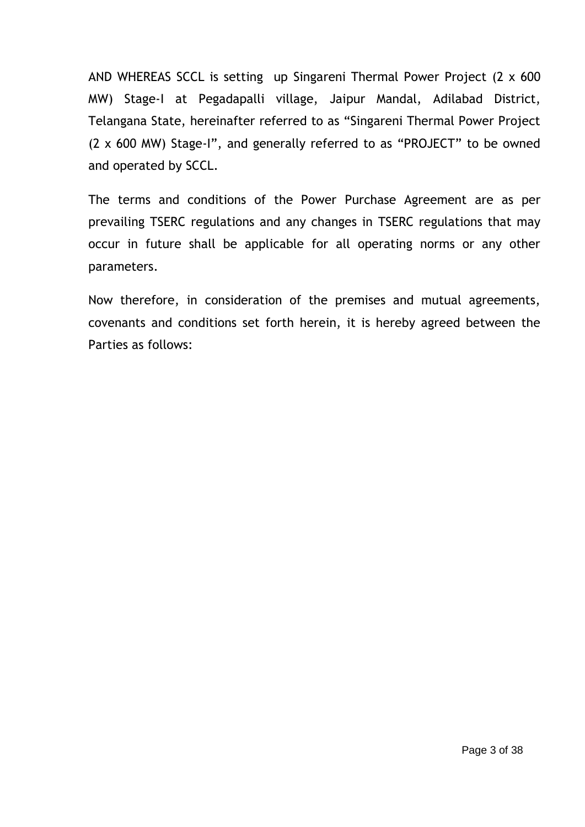AND WHEREAS SCCL is setting up Singareni Thermal Power Project (2 x 600 MW) Stage-I at Pegadapalli village, Jaipur Mandal, Adilabad District, Telangana State, hereinafter referred to as "Singareni Thermal Power Project (2 x 600 MW) Stage-I", and generally referred to as "PROJECT" to be owned and operated by SCCL.

The terms and conditions of the Power Purchase Agreement are as per prevailing TSERC regulations and any changes in TSERC regulations that may occur in future shall be applicable for all operating norms or any other parameters.

Now therefore, in consideration of the premises and mutual agreements, covenants and conditions set forth herein, it is hereby agreed between the Parties as follows: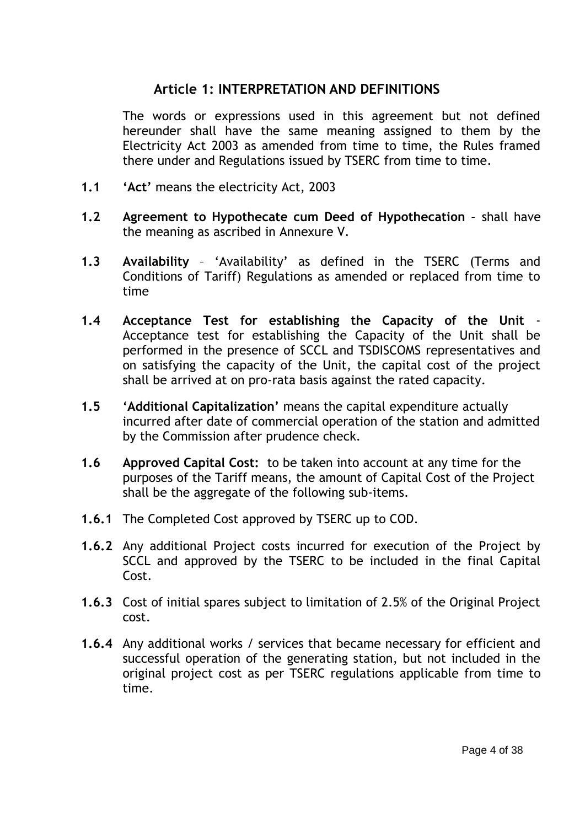## **Article 1: INTERPRETATION AND DEFINITIONS**

The words or expressions used in this agreement but not defined hereunder shall have the same meaning assigned to them by the Electricity Act 2003 as amended from time to time, the Rules framed there under and Regulations issued by TSERC from time to time.

- **1.1 'Act'** means the electricity Act, 2003
- **1.2 Agreement to Hypothecate cum Deed of Hypothecation** shall have the meaning as ascribed in Annexure V.
- **1.3 Availability** "Availability" as defined in the TSERC (Terms and Conditions of Tariff) Regulations as amended or replaced from time to time
- **1.4 Acceptance Test for establishing the Capacity of the Unit** Acceptance test for establishing the Capacity of the Unit shall be performed in the presence of SCCL and TSDISCOMS representatives and on satisfying the capacity of the Unit, the capital cost of the project shall be arrived at on pro-rata basis against the rated capacity.
- **1.5 'Additional Capitalization'** means the capital expenditure actually incurred after date of commercial operation of the station and admitted by the Commission after prudence check.
- **1.6 Approved Capital Cost:** to be taken into account at any time for the purposes of the Tariff means, the amount of Capital Cost of the Project shall be the aggregate of the following sub-items.
- **1.6.1** The Completed Cost approved by TSERC up to COD.
- **1.6.2** Any additional Project costs incurred for execution of the Project by SCCL and approved by the TSERC to be included in the final Capital Cost.
- **1.6.3** Cost of initial spares subject to limitation of 2.5% of the Original Project cost.
- **1.6.4** Any additional works / services that became necessary for efficient and successful operation of the generating station, but not included in the original project cost as per TSERC regulations applicable from time to time.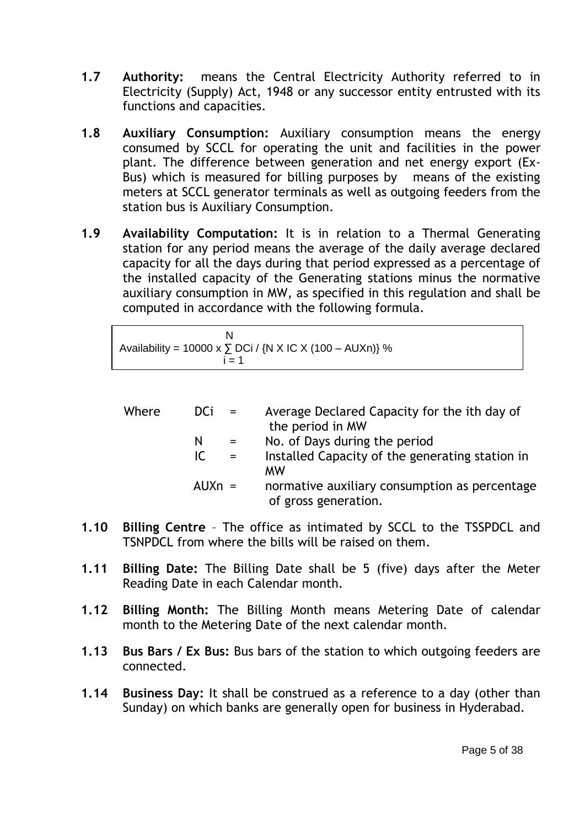- **1.7 Authority:** means the Central Electricity Authority referred to in Electricity (Supply) Act, 1948 or any successor entity entrusted with its functions and capacities.
- **1.8 Auxiliary Consumption:** Auxiliary consumption means the energy consumed by SCCL for operating the unit and facilities in the power plant. The difference between generation and net energy export (Ex-Bus) which is measured for billing purposes by means of the existing meters at SCCL generator terminals as well as outgoing feeders from the station bus is Auxiliary Consumption.
- **1.9 Availability Computation:** It is in relation to a Thermal Generating station for any period means the average of the daily average declared capacity for all the days during that period expressed as a percentage of the installed capacity of the Generating stations minus the normative auxiliary consumption in MW, as specified in this regulation and shall be computed in accordance with the following formula.

| Availability = 10000 x $\sum$ DCi / {N X IC X (100 – AUXn)} % |  |
|---------------------------------------------------------------|--|
| ı = 1                                                         |  |

| Where | DCi.<br>$\mathbf{r} = \mathbf{r}$ | Average Declared Capacity for the ith day of<br>the period in MW      |
|-------|-----------------------------------|-----------------------------------------------------------------------|
|       | N<br>$=$                          | No. of Days during the period                                         |
|       | IC.<br>$=$                        | Installed Capacity of the generating station in<br><b>MW</b>          |
|       | $AUXn =$                          | normative auxiliary consumption as percentage<br>of gross generation. |

- **1.10 Billing Centre** The office as intimated by SCCL to the TSSPDCL and TSNPDCL from where the bills will be raised on them.
- **1.11 Billing Date:** The Billing Date shall be 5 (five) days after the Meter Reading Date in each Calendar month.
- **1.12 Billing Month:** The Billing Month means Metering Date of calendar month to the Metering Date of the next calendar month.
- **1.13 Bus Bars / Ex Bus:** Bus bars of the station to which outgoing feeders are connected.
- **1.14 Business Day:** It shall be construed as a reference to a day (other than Sunday) on which banks are generally open for business in Hyderabad.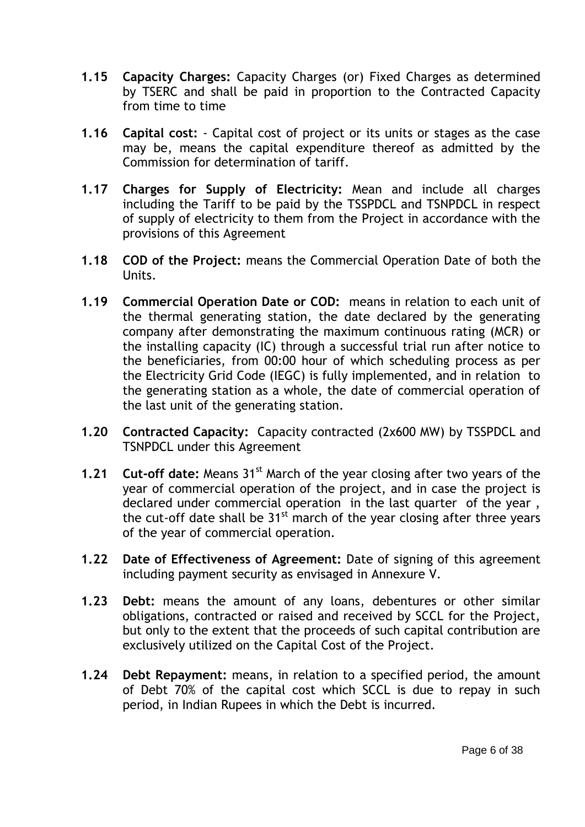- **1.15 Capacity Charges:** Capacity Charges (or) Fixed Charges as determined by TSERC and shall be paid in proportion to the Contracted Capacity from time to time
- **1.16 Capital cost:**  Capital cost of project or its units or stages as the case may be, means the capital expenditure thereof as admitted by the Commission for determination of tariff.
- **1.17 Charges for Supply of Electricity:** Mean and include all charges including the Tariff to be paid by the TSSPDCL and TSNPDCL in respect of supply of electricity to them from the Project in accordance with the provisions of this Agreement
- **1.18 COD of the Project:** means the Commercial Operation Date of both the Units.
- **1.19 Commercial Operation Date or COD:** means in relation to each unit of the thermal generating station, the date declared by the generating company after demonstrating the maximum continuous rating (MCR) or the installing capacity (IC) through a successful trial run after notice to the beneficiaries, from 00:00 hour of which scheduling process as per the Electricity Grid Code (IEGC) is fully implemented, and in relation to the generating station as a whole, the date of commercial operation of the last unit of the generating station.
- **1.20 Contracted Capacity:** Capacity contracted (2x600 MW) by TSSPDCL and TSNPDCL under this Agreement
- **1.21 Cut-off date:** Means 31<sup>st</sup> March of the year closing after two years of the year of commercial operation of the project, and in case the project is declared under commercial operation in the last quarter of the year , the cut-off date shall be  $31<sup>st</sup>$  march of the year closing after three years of the year of commercial operation.
- **1.22 Date of Effectiveness of Agreement:** Date of signing of this agreement including payment security as envisaged in Annexure V.
- **1.23 Debt:** means the amount of any loans, debentures or other similar obligations, contracted or raised and received by SCCL for the Project, but only to the extent that the proceeds of such capital contribution are exclusively utilized on the Capital Cost of the Project.
- **1.24 Debt Repayment:** means, in relation to a specified period, the amount of Debt 70% of the capital cost which SCCL is due to repay in such period, in Indian Rupees in which the Debt is incurred.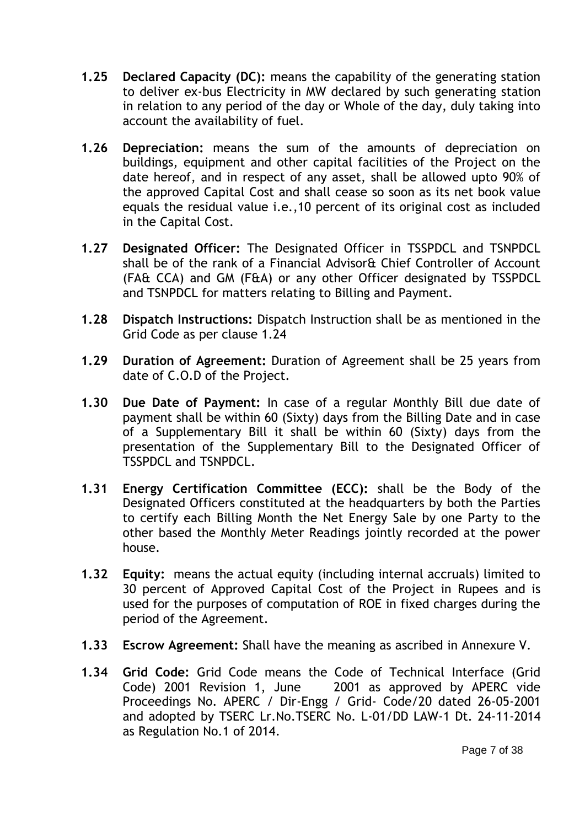- **1.25 Declared Capacity (DC):** means the capability of the generating station to deliver ex-bus Electricity in MW declared by such generating station in relation to any period of the day or Whole of the day, duly taking into account the availability of fuel.
- **1.26 Depreciation:** means the sum of the amounts of depreciation on buildings, equipment and other capital facilities of the Project on the date hereof, and in respect of any asset, shall be allowed upto 90% of the approved Capital Cost and shall cease so soon as its net book value equals the residual value i.e.,10 percent of its original cost as included in the Capital Cost.
- **1.27 Designated Officer:** The Designated Officer in TSSPDCL and TSNPDCL shall be of the rank of a Financial Advisor& Chief Controller of Account (FA& CCA) and GM (F&A) or any other Officer designated by TSSPDCL and TSNPDCL for matters relating to Billing and Payment.
- **1.28 Dispatch Instructions:** Dispatch Instruction shall be as mentioned in the Grid Code as per clause 1.24
- **1.29 Duration of Agreement:** Duration of Agreement shall be 25 years from date of C.O.D of the Project.
- **1.30 Due Date of Payment:** In case of a regular Monthly Bill due date of payment shall be within 60 (Sixty) days from the Billing Date and in case of a Supplementary Bill it shall be within 60 (Sixty) days from the presentation of the Supplementary Bill to the Designated Officer of TSSPDCL and TSNPDCL.
- **1.31 Energy Certification Committee (ECC):** shall be the Body of the Designated Officers constituted at the headquarters by both the Parties to certify each Billing Month the Net Energy Sale by one Party to the other based the Monthly Meter Readings jointly recorded at the power house.
- **1.32 Equity:** means the actual equity (including internal accruals) limited to 30 percent of Approved Capital Cost of the Project in Rupees and is used for the purposes of computation of ROE in fixed charges during the period of the Agreement.
- **1.33 Escrow Agreement:** Shall have the meaning as ascribed in Annexure V.
- **1.34 Grid Code:** Grid Code means the Code of Technical Interface (Grid Code) 2001 Revision 1, June 2001 as approved by APERC vide Proceedings No. APERC / Dir-Engg / Grid- Code/20 dated 26-05-2001 and adopted by TSERC Lr.No.TSERC No. L-01/DD LAW-1 Dt. 24-11-2014 as Regulation No.1 of 2014.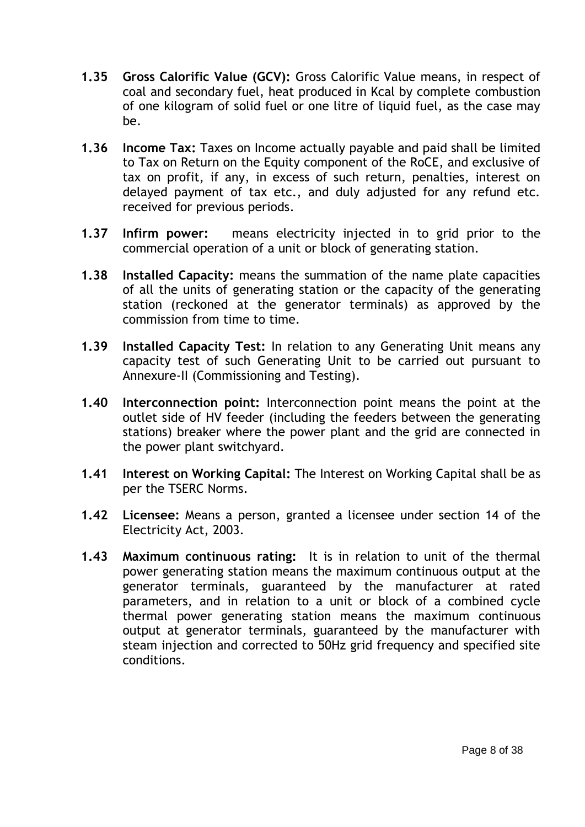- **1.35 Gross Calorific Value (GCV):** Gross Calorific Value means, in respect of coal and secondary fuel, heat produced in Kcal by complete combustion of one kilogram of solid fuel or one litre of liquid fuel, as the case may be.
- **1.36 Income Tax:** Taxes on Income actually payable and paid shall be limited to Tax on Return on the Equity component of the RoCE, and exclusive of tax on profit, if any, in excess of such return, penalties, interest on delayed payment of tax etc., and duly adjusted for any refund etc. received for previous periods.
- **1.37 Infirm power:** means electricity injected in to grid prior to the commercial operation of a unit or block of generating station.
- **1.38 Installed Capacity:** means the summation of the name plate capacities of all the units of generating station or the capacity of the generating station (reckoned at the generator terminals) as approved by the commission from time to time.
- **1.39 Installed Capacity Test:** In relation to any Generating Unit means any capacity test of such Generating Unit to be carried out pursuant to Annexure-II (Commissioning and Testing).
- **1.40 Interconnection point:** Interconnection point means the point at the outlet side of HV feeder (including the feeders between the generating stations) breaker where the power plant and the grid are connected in the power plant switchyard.
- **1.41 Interest on Working Capital:** The Interest on Working Capital shall be as per the TSERC Norms.
- **1.42 Licensee:** Means a person, granted a licensee under section 14 of the Electricity Act, 2003.
- **1.43 Maximum continuous rating:** It is in relation to unit of the thermal power generating station means the maximum continuous output at the generator terminals, guaranteed by the manufacturer at rated parameters, and in relation to a unit or block of a combined cycle thermal power generating station means the maximum continuous output at generator terminals, guaranteed by the manufacturer with steam injection and corrected to 50Hz grid frequency and specified site conditions.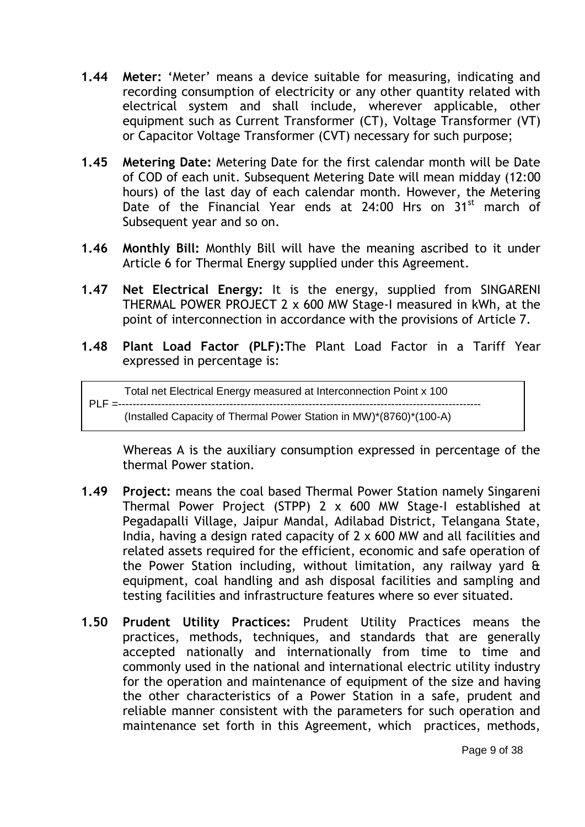- **1.44 Meter:** "Meter" means a device suitable for measuring, indicating and recording consumption of electricity or any other quantity related with electrical system and shall include, wherever applicable, other equipment such as Current Transformer (CT), Voltage Transformer (VT) or Capacitor Voltage Transformer (CVT) necessary for such purpose;
- **1.45 Metering Date:** Metering Date for the first calendar month will be Date of COD of each unit. Subsequent Metering Date will mean midday (12:00 hours) of the last day of each calendar month. However, the Metering Date of the Financial Year ends at  $24:00$  Hrs on  $31<sup>st</sup>$  march of Subsequent year and so on.
- **1.46 Monthly Bill:** Monthly Bill will have the meaning ascribed to it under Article 6 for Thermal Energy supplied under this Agreement.
- **1.47 Net Electrical Energy:** It is the energy, supplied from SINGARENI THERMAL POWER PROJECT 2 x 600 MW Stage-I measured in kWh, at the point of interconnection in accordance with the provisions of Article 7.
- **1.48 Plant Load Factor (PLF):**The Plant Load Factor in a Tariff Year expressed in percentage is:

Total net Electrical Energy measured at Interconnection Point x 100 PLF =----------------------------------------------------------------------------------------------------- (Installed Capacity of Thermal Power Station in MW)\*(8760)\*(100-A)

 Whereas A is the auxiliary consumption expressed in percentage of the thermal Power station.

- **1.49 Project:** means the coal based Thermal Power Station namely Singareni Thermal Power Project (STPP) 2 x 600 MW Stage-I established at Pegadapalli Village, Jaipur Mandal, Adilabad District, Telangana State, India, having a design rated capacity of 2 x 600 MW and all facilities and related assets required for the efficient, economic and safe operation of the Power Station including, without limitation, any railway yard & equipment, coal handling and ash disposal facilities and sampling and testing facilities and infrastructure features where so ever situated.
- **1.50 Prudent Utility Practices:** Prudent Utility Practices means the practices, methods, techniques, and standards that are generally accepted nationally and internationally from time to time and commonly used in the national and international electric utility industry for the operation and maintenance of equipment of the size and having the other characteristics of a Power Station in a safe, prudent and reliable manner consistent with the parameters for such operation and maintenance set forth in this Agreement, which practices, methods,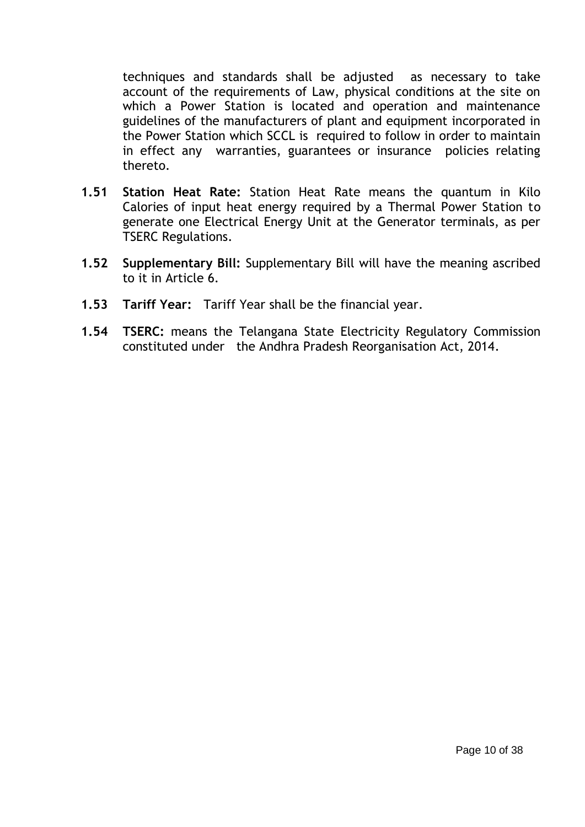techniques and standards shall be adjusted as necessary to take account of the requirements of Law, physical conditions at the site on which a Power Station is located and operation and maintenance guidelines of the manufacturers of plant and equipment incorporated in the Power Station which SCCL is required to follow in order to maintain in effect any warranties, guarantees or insurance policies relating thereto.

- **1.51 Station Heat Rate:** Station Heat Rate means the quantum in Kilo Calories of input heat energy required by a Thermal Power Station to generate one Electrical Energy Unit at the Generator terminals, as per TSERC Regulations.
- **1.52 Supplementary Bill:** Supplementary Bill will have the meaning ascribed to it in Article 6.
- **1.53 Tariff Year:** Tariff Year shall be the financial year.
- **1.54 TSERC:** means the Telangana State Electricity Regulatory Commission constituted under the Andhra Pradesh Reorganisation Act, 2014.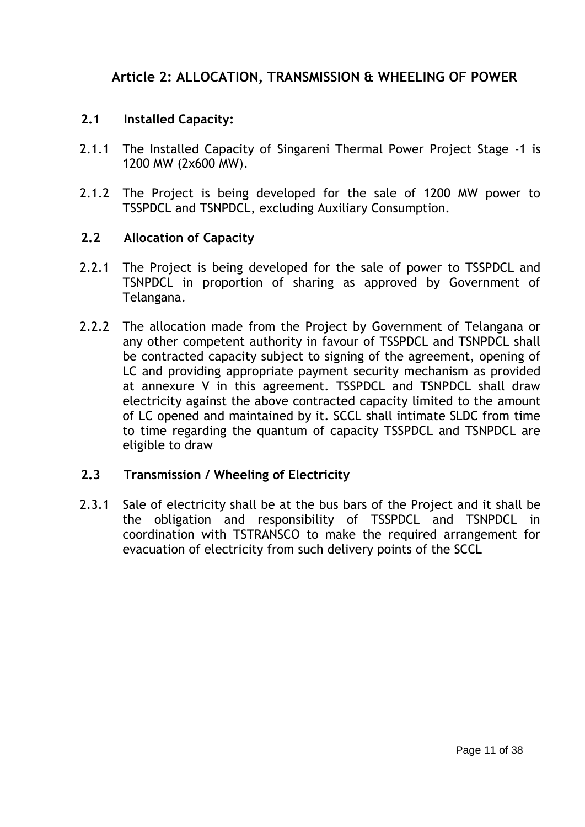# **Article 2: ALLOCATION, TRANSMISSION & WHEELING OF POWER**

### **2.1 Installed Capacity:**

- 2.1.1 The Installed Capacity of Singareni Thermal Power Project Stage -1 is 1200 MW (2x600 MW).
- 2.1.2 The Project is being developed for the sale of 1200 MW power to TSSPDCL and TSNPDCL, excluding Auxiliary Consumption.

### **2.2 Allocation of Capacity**

- 2.2.1 The Project is being developed for the sale of power to TSSPDCL and TSNPDCL in proportion of sharing as approved by Government of Telangana.
- 2.2.2 The allocation made from the Project by Government of Telangana or any other competent authority in favour of TSSPDCL and TSNPDCL shall be contracted capacity subject to signing of the agreement, opening of LC and providing appropriate payment security mechanism as provided at annexure V in this agreement. TSSPDCL and TSNPDCL shall draw electricity against the above contracted capacity limited to the amount of LC opened and maintained by it. SCCL shall intimate SLDC from time to time regarding the quantum of capacity TSSPDCL and TSNPDCL are eligible to draw

### **2.3 Transmission / Wheeling of Electricity**

2.3.1 Sale of electricity shall be at the bus bars of the Project and it shall be the obligation and responsibility of TSSPDCL and TSNPDCL in coordination with TSTRANSCO to make the required arrangement for evacuation of electricity from such delivery points of the SCCL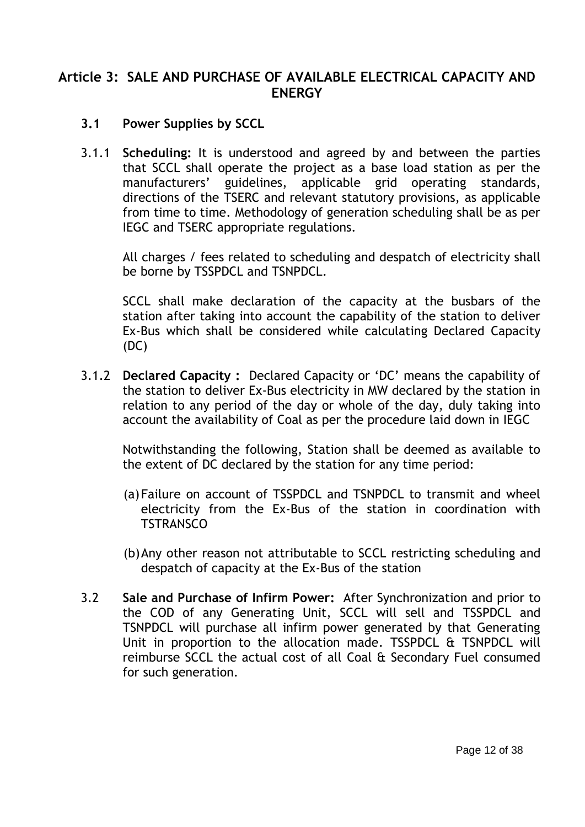### **Article 3: SALE AND PURCHASE OF AVAILABLE ELECTRICAL CAPACITY AND ENERGY**

- **3.1 Power Supplies by SCCL**
- 3.1.1 **Scheduling:** It is understood and agreed by and between the parties that SCCL shall operate the project as a base load station as per the manufacturers" guidelines, applicable grid operating standards, directions of the TSERC and relevant statutory provisions, as applicable from time to time. Methodology of generation scheduling shall be as per IEGC and TSERC appropriate regulations.

All charges / fees related to scheduling and despatch of electricity shall be borne by TSSPDCL and TSNPDCL.

SCCL shall make declaration of the capacity at the busbars of the station after taking into account the capability of the station to deliver Ex-Bus which shall be considered while calculating Declared Capacity (DC)

3.1.2 **Declared Capacity :** Declared Capacity or "DC" means the capability of the station to deliver Ex-Bus electricity in MW declared by the station in relation to any period of the day or whole of the day, duly taking into account the availability of Coal as per the procedure laid down in IEGC

Notwithstanding the following, Station shall be deemed as available to the extent of DC declared by the station for any time period:

- (a)Failure on account of TSSPDCL and TSNPDCL to transmit and wheel electricity from the Ex-Bus of the station in coordination with **TSTRANSCO**
- (b)Any other reason not attributable to SCCL restricting scheduling and despatch of capacity at the Ex-Bus of the station
- 3.2 **Sale and Purchase of Infirm Power:** After Synchronization and prior to the COD of any Generating Unit, SCCL will sell and TSSPDCL and TSNPDCL will purchase all infirm power generated by that Generating Unit in proportion to the allocation made. TSSPDCL & TSNPDCL will reimburse SCCL the actual cost of all Coal & Secondary Fuel consumed for such generation.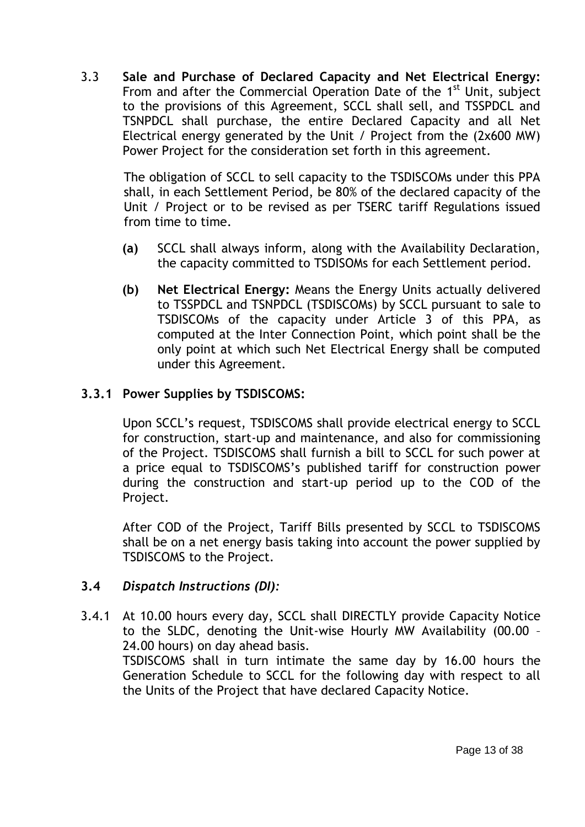3.3 **Sale and Purchase of Declared Capacity and Net Electrical Energy:**  From and after the Commercial Operation Date of the 1<sup>st</sup> Unit, subject to the provisions of this Agreement, SCCL shall sell, and TSSPDCL and TSNPDCL shall purchase, the entire Declared Capacity and all Net Electrical energy generated by the Unit / Project from the (2x600 MW) Power Project for the consideration set forth in this agreement.

The obligation of SCCL to sell capacity to the TSDISCOMs under this PPA shall, in each Settlement Period, be 80% of the declared capacity of the Unit / Project or to be revised as per TSERC tariff Regulations issued from time to time.

- **(a)** SCCL shall always inform, along with the Availability Declaration, the capacity committed to TSDISOMs for each Settlement period.
- **(b) Net Electrical Energy:** Means the Energy Units actually delivered to TSSPDCL and TSNPDCL (TSDISCOMs) by SCCL pursuant to sale to TSDISCOMs of the capacity under Article 3 of this PPA, as computed at the Inter Connection Point, which point shall be the only point at which such Net Electrical Energy shall be computed under this Agreement.

### **3.3.1 Power Supplies by TSDISCOMS:**

Upon SCCL"s request, TSDISCOMS shall provide electrical energy to SCCL for construction, start-up and maintenance, and also for commissioning of the Project. TSDISCOMS shall furnish a bill to SCCL for such power at a price equal to TSDISCOMS"s published tariff for construction power during the construction and start-up period up to the COD of the Project.

After COD of the Project, Tariff Bills presented by SCCL to TSDISCOMS shall be on a net energy basis taking into account the power supplied by TSDISCOMS to the Project.

### **3.4** *Dispatch Instructions (DI):*

3.4.1 At 10.00 hours every day, SCCL shall DIRECTLY provide Capacity Notice to the SLDC, denoting the Unit-wise Hourly MW Availability (00.00 – 24.00 hours) on day ahead basis.

TSDISCOMS shall in turn intimate the same day by 16.00 hours the Generation Schedule to SCCL for the following day with respect to all the Units of the Project that have declared Capacity Notice.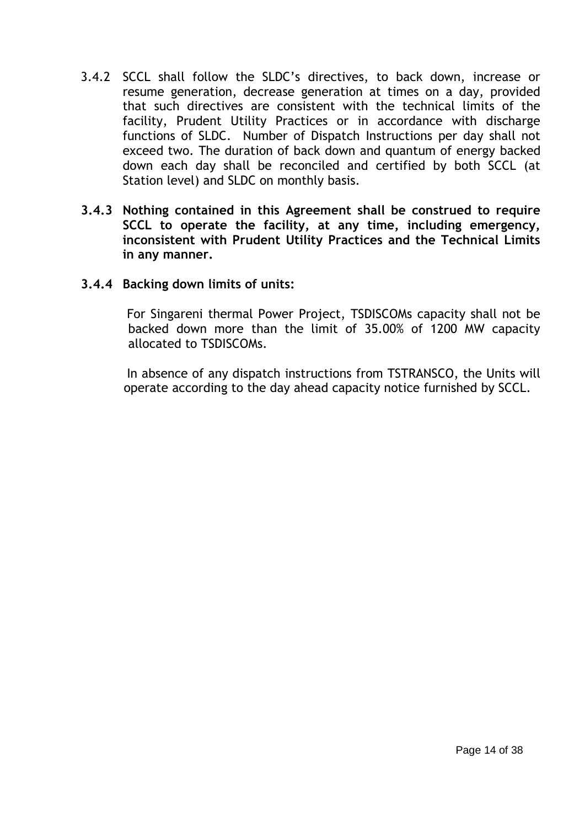- 3.4.2 SCCL shall follow the SLDC"s directives, to back down, increase or resume generation, decrease generation at times on a day, provided that such directives are consistent with the technical limits of the facility, Prudent Utility Practices or in accordance with discharge functions of SLDC. Number of Dispatch Instructions per day shall not exceed two. The duration of back down and quantum of energy backed down each day shall be reconciled and certified by both SCCL (at Station level) and SLDC on monthly basis.
- **3.4.3 Nothing contained in this Agreement shall be construed to require SCCL to operate the facility, at any time, including emergency, inconsistent with Prudent Utility Practices and the Technical Limits in any manner.**
- **3.4.4 Backing down limits of units:**

For Singareni thermal Power Project, TSDISCOMs capacity shall not be backed down more than the limit of 35.00% of 1200 MW capacity allocated to TSDISCOMs.

 In absence of any dispatch instructions from TSTRANSCO, the Units will operate according to the day ahead capacity notice furnished by SCCL.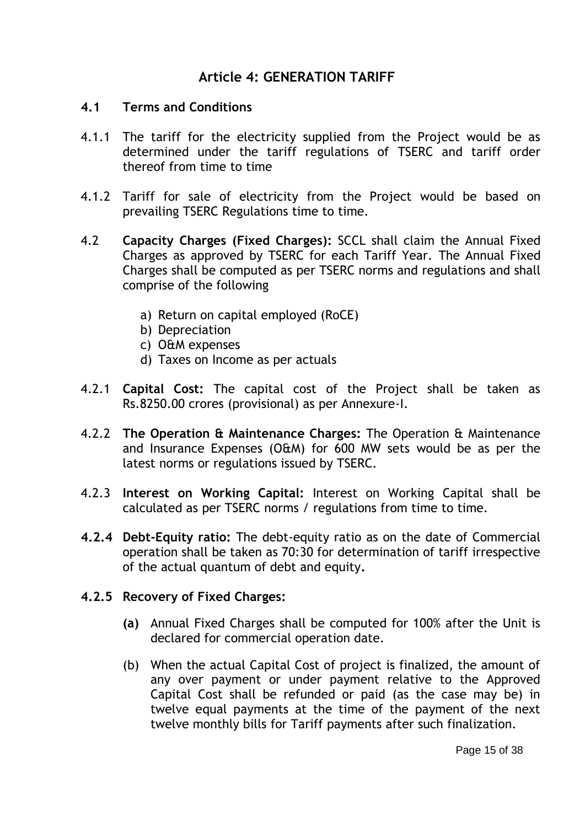## **Article 4: GENERATION TARIFF**

#### **4.1 Terms and Conditions**

- 4.1.1 The tariff for the electricity supplied from the Project would be as determined under the tariff regulations of TSERC and tariff order thereof from time to time
- 4.1.2 Tariff for sale of electricity from the Project would be based on prevailing TSERC Regulations time to time.
- 4.2 **Capacity Charges (Fixed Charges):** SCCL shall claim the Annual Fixed Charges as approved by TSERC for each Tariff Year. The Annual Fixed Charges shall be computed as per TSERC norms and regulations and shall comprise of the following
	- a) Return on capital employed (RoCE)
	- b) Depreciation
	- c) O&M expenses
	- d) Taxes on Income as per actuals
- 4.2.1 **Capital Cost:** The capital cost of the Project shall be taken as Rs.8250.00 crores (provisional) as per Annexure-I.
- 4.2.2 **The Operation & Maintenance Charges:** The Operation & Maintenance and Insurance Expenses (O&M) for 600 MW sets would be as per the latest norms or regulations issued by TSERC.
- 4.2.3 **Interest on Working Capital:** Interest on Working Capital shall be calculated as per TSERC norms / regulations from time to time.
- **4.2.4 Debt-Equity ratio:** The debt-equity ratio as on the date of Commercial operation shall be taken as 70:30 for determination of tariff irrespective of the actual quantum of debt and equity**.**

### **4.2.5 Recovery of Fixed Charges:**

- **(a)** Annual Fixed Charges shall be computed for 100% after the Unit is declared for commercial operation date.
- (b) When the actual Capital Cost of project is finalized, the amount of any over payment or under payment relative to the Approved Capital Cost shall be refunded or paid (as the case may be) in twelve equal payments at the time of the payment of the next twelve monthly bills for Tariff payments after such finalization.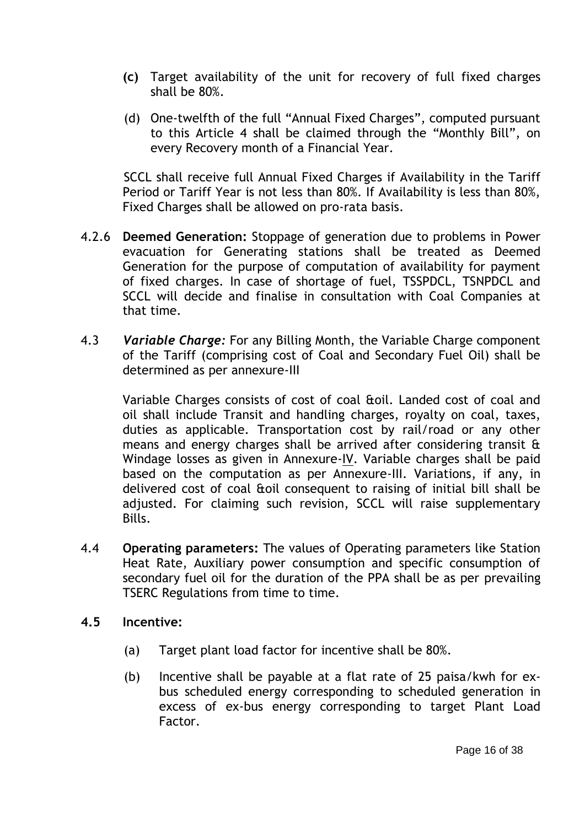- **(c)** Target availability of the unit for recovery of full fixed charges shall be 80%.
- (d) One-twelfth of the full "Annual Fixed Charges", computed pursuant to this Article 4 shall be claimed through the "Monthly Bill", on every Recovery month of a Financial Year.

SCCL shall receive full Annual Fixed Charges if Availability in the Tariff Period or Tariff Year is not less than 80%. If Availability is less than 80%, Fixed Charges shall be allowed on pro-rata basis.

- 4.2.6 **Deemed Generation:** Stoppage of generation due to problems in Power evacuation for Generating stations shall be treated as Deemed Generation for the purpose of computation of availability for payment of fixed charges. In case of shortage of fuel, TSSPDCL, TSNPDCL and SCCL will decide and finalise in consultation with Coal Companies at that time.
- 4.3 *Variable Charge:* For any Billing Month, the Variable Charge component of the Tariff (comprising cost of Coal and Secondary Fuel Oil) shall be determined as per annexure-III

Variable Charges consists of cost of coal &oil. Landed cost of coal and oil shall include Transit and handling charges, royalty on coal, taxes, duties as applicable. Transportation cost by rail/road or any other means and energy charges shall be arrived after considering transit & Windage losses as given in Annexure-IV. Variable charges shall be paid based on the computation as per Annexure-III. Variations, if any, in delivered cost of coal &oil consequent to raising of initial bill shall be adjusted. For claiming such revision, SCCL will raise supplementary Bills.

- 4.4 **Operating parameters:** The values of Operating parameters like Station Heat Rate, Auxiliary power consumption and specific consumption of secondary fuel oil for the duration of the PPA shall be as per prevailing TSERC Regulations from time to time.
- **4.5 Incentive:** 
	- (a) Target plant load factor for incentive shall be 80%.
	- (b) Incentive shall be payable at a flat rate of 25 paisa/kwh for exbus scheduled energy corresponding to scheduled generation in excess of ex-bus energy corresponding to target Plant Load Factor.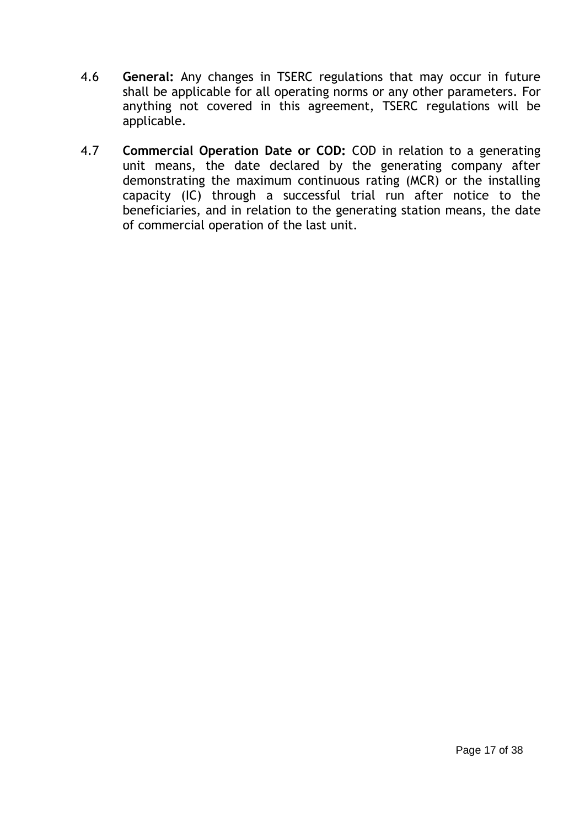- 4.6 **General:** Any changes in TSERC regulations that may occur in future shall be applicable for all operating norms or any other parameters. For anything not covered in this agreement, TSERC regulations will be applicable.
- 4.7 **Commercial Operation Date or COD:** COD in relation to a generating unit means, the date declared by the generating company after demonstrating the maximum continuous rating (MCR) or the installing capacity (IC) through a successful trial run after notice to the beneficiaries, and in relation to the generating station means, the date of commercial operation of the last unit.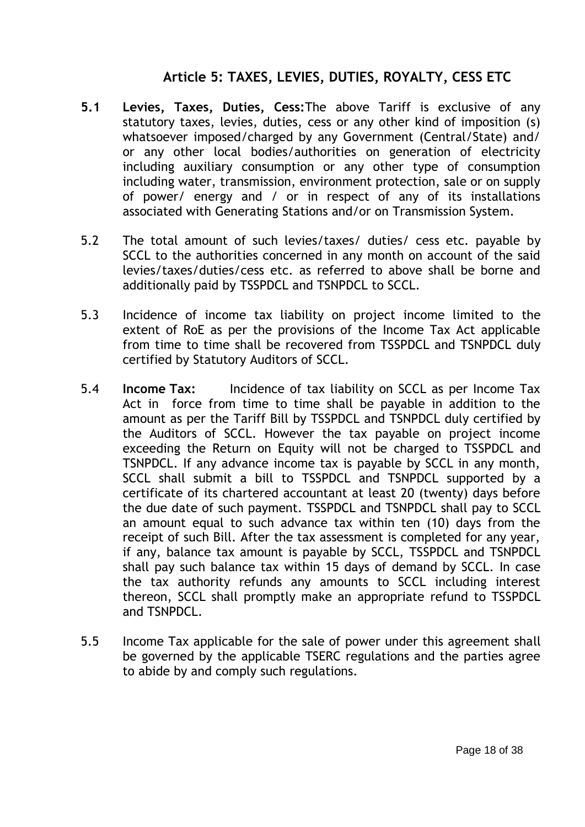# **Article 5: TAXES, LEVIES, DUTIES, ROYALTY, CESS ETC**

- **5.1 Levies, Taxes, Duties, Cess:**The above Tariff is exclusive of any statutory taxes, levies, duties, cess or any other kind of imposition (s) whatsoever imposed/charged by any Government (Central/State) and/ or any other local bodies/authorities on generation of electricity including auxiliary consumption or any other type of consumption including water, transmission, environment protection, sale or on supply of power/ energy and / or in respect of any of its installations associated with Generating Stations and/or on Transmission System.
- 5.2 The total amount of such levies/taxes/ duties/ cess etc. payable by SCCL to the authorities concerned in any month on account of the said levies/taxes/duties/cess etc. as referred to above shall be borne and additionally paid by TSSPDCL and TSNPDCL to SCCL.
- 5.3 Incidence of income tax liability on project income limited to the extent of RoE as per the provisions of the Income Tax Act applicable from time to time shall be recovered from TSSPDCL and TSNPDCL duly certified by Statutory Auditors of SCCL.
- 5.4 **Income Tax:** Incidence of tax liability on SCCL as per Income Tax Act in force from time to time shall be payable in addition to the amount as per the Tariff Bill by TSSPDCL and TSNPDCL duly certified by the Auditors of SCCL. However the tax payable on project income exceeding the Return on Equity will not be charged to TSSPDCL and TSNPDCL. If any advance income tax is payable by SCCL in any month, SCCL shall submit a bill to TSSPDCL and TSNPDCL supported by a certificate of its chartered accountant at least 20 (twenty) days before the due date of such payment. TSSPDCL and TSNPDCL shall pay to SCCL an amount equal to such advance tax within ten (10) days from the receipt of such Bill. After the tax assessment is completed for any year, if any, balance tax amount is payable by SCCL, TSSPDCL and TSNPDCL shall pay such balance tax within 15 days of demand by SCCL. In case the tax authority refunds any amounts to SCCL including interest thereon, SCCL shall promptly make an appropriate refund to TSSPDCL and TSNPDCL.
- 5.5 Income Tax applicable for the sale of power under this agreement shall be governed by the applicable TSERC regulations and the parties agree to abide by and comply such regulations.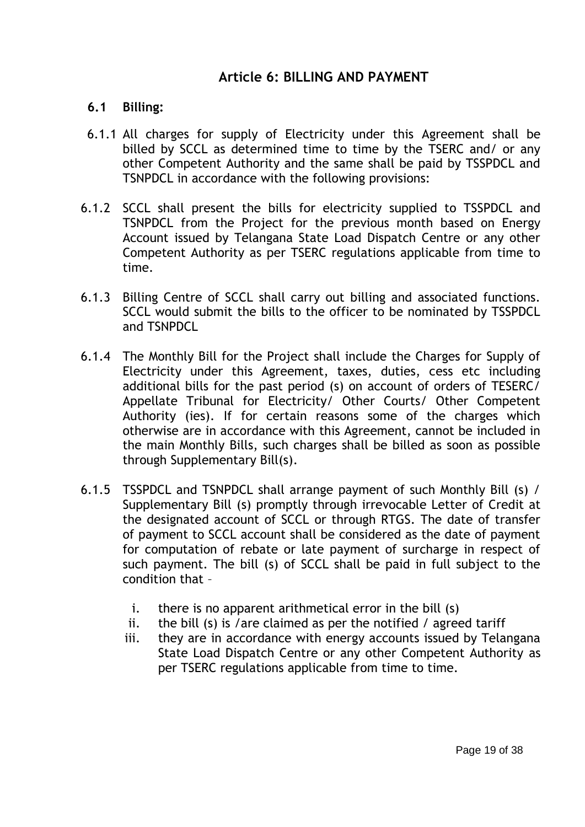## **Article 6: BILLING AND PAYMENT**

### **6.1 Billing:**

- 6.1.1 All charges for supply of Electricity under this Agreement shall be billed by SCCL as determined time to time by the TSERC and/ or any other Competent Authority and the same shall be paid by TSSPDCL and TSNPDCL in accordance with the following provisions:
- 6.1.2 SCCL shall present the bills for electricity supplied to TSSPDCL and TSNPDCL from the Project for the previous month based on Energy Account issued by Telangana State Load Dispatch Centre or any other Competent Authority as per TSERC regulations applicable from time to time.
- 6.1.3 Billing Centre of SCCL shall carry out billing and associated functions. SCCL would submit the bills to the officer to be nominated by TSSPDCL and TSNPDCL
- 6.1.4 The Monthly Bill for the Project shall include the Charges for Supply of Electricity under this Agreement, taxes, duties, cess etc including additional bills for the past period (s) on account of orders of TESERC/ Appellate Tribunal for Electricity/ Other Courts/ Other Competent Authority (ies). If for certain reasons some of the charges which otherwise are in accordance with this Agreement, cannot be included in the main Monthly Bills, such charges shall be billed as soon as possible through Supplementary Bill(s).
- 6.1.5 TSSPDCL and TSNPDCL shall arrange payment of such Monthly Bill (s) / Supplementary Bill (s) promptly through irrevocable Letter of Credit at the designated account of SCCL or through RTGS. The date of transfer of payment to SCCL account shall be considered as the date of payment for computation of rebate or late payment of surcharge in respect of such payment. The bill (s) of SCCL shall be paid in full subject to the condition that –
	- i. there is no apparent arithmetical error in the bill (s)
	- ii. the bill (s) is /are claimed as per the notified / agreed tariff
	- iii. they are in accordance with energy accounts issued by Telangana State Load Dispatch Centre or any other Competent Authority as per TSERC regulations applicable from time to time.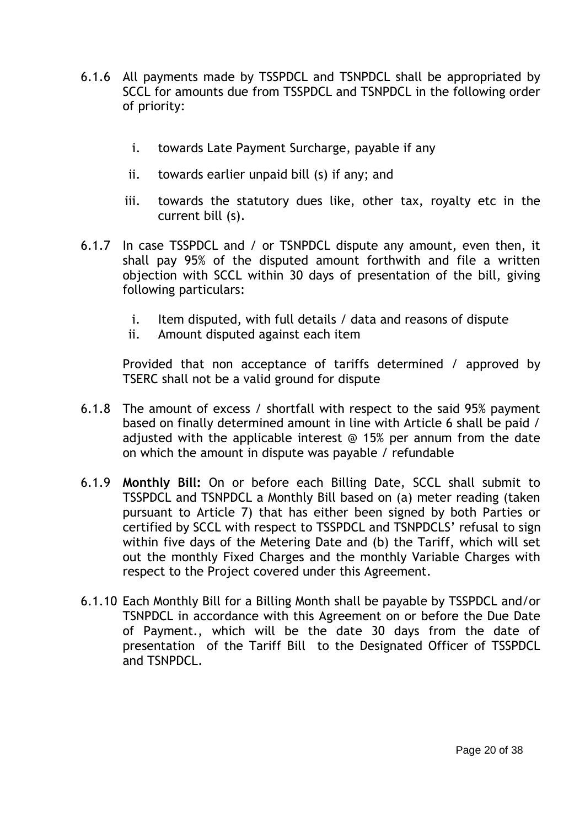- 6.1.6 All payments made by TSSPDCL and TSNPDCL shall be appropriated by SCCL for amounts due from TSSPDCL and TSNPDCL in the following order of priority:
	- i. towards Late Payment Surcharge, payable if any
	- ii. towards earlier unpaid bill (s) if any; and
	- iii. towards the statutory dues like, other tax, royalty etc in the current bill (s).
- 6.1.7 In case TSSPDCL and / or TSNPDCL dispute any amount, even then, it shall pay 95% of the disputed amount forthwith and file a written objection with SCCL within 30 days of presentation of the bill, giving following particulars:
	- i. Item disputed, with full details / data and reasons of dispute
	- ii. Amount disputed against each item

Provided that non acceptance of tariffs determined / approved by TSERC shall not be a valid ground for dispute

- 6.1.8 The amount of excess / shortfall with respect to the said 95% payment based on finally determined amount in line with Article 6 shall be paid / adjusted with the applicable interest @ 15% per annum from the date on which the amount in dispute was payable / refundable
- 6.1.9 **Monthly Bill:** On or before each Billing Date, SCCL shall submit to TSSPDCL and TSNPDCL a Monthly Bill based on (a) meter reading (taken pursuant to Article 7) that has either been signed by both Parties or certified by SCCL with respect to TSSPDCL and TSNPDCLS' refusal to sign within five days of the Metering Date and (b) the Tariff, which will set out the monthly Fixed Charges and the monthly Variable Charges with respect to the Project covered under this Agreement.
- 6.1.10 Each Monthly Bill for a Billing Month shall be payable by TSSPDCL and/or TSNPDCL in accordance with this Agreement on or before the Due Date of Payment., which will be the date 30 days from the date of presentation of the Tariff Bill to the Designated Officer of TSSPDCL and TSNPDCL.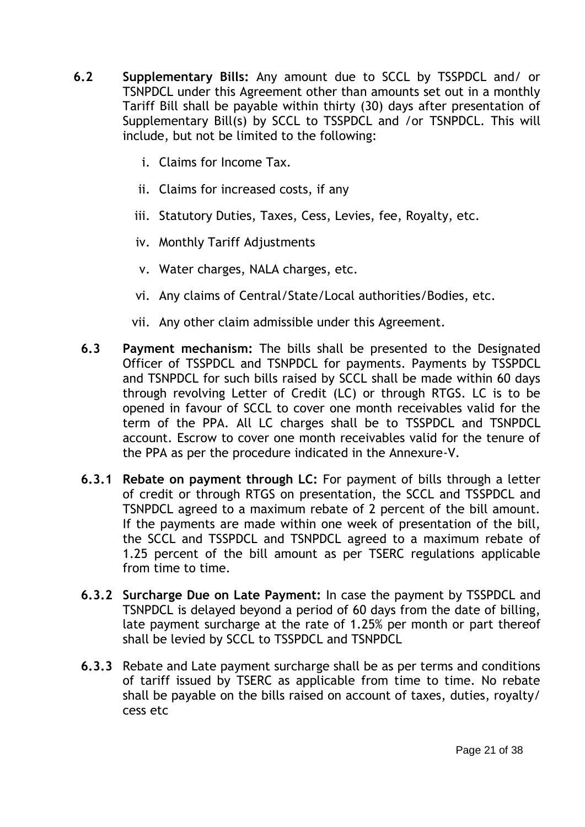- **6.2 Supplementary Bills:** Any amount due to SCCL by TSSPDCL and/ or TSNPDCL under this Agreement other than amounts set out in a monthly Tariff Bill shall be payable within thirty (30) days after presentation of Supplementary Bill(s) by SCCL to TSSPDCL and /or TSNPDCL. This will include, but not be limited to the following:
	- i. Claims for Income Tax.
	- ii. Claims for increased costs, if any
	- iii. Statutory Duties, Taxes, Cess, Levies, fee, Royalty, etc.
	- iv. Monthly Tariff Adjustments
	- v. Water charges, NALA charges, etc.
	- vi. Any claims of Central/State/Local authorities/Bodies, etc.
	- vii. Any other claim admissible under this Agreement.
	- **6.3 Payment mechanism:** The bills shall be presented to the Designated Officer of TSSPDCL and TSNPDCL for payments. Payments by TSSPDCL and TSNPDCL for such bills raised by SCCL shall be made within 60 days through revolving Letter of Credit (LC) or through RTGS. LC is to be opened in favour of SCCL to cover one month receivables valid for the term of the PPA. All LC charges shall be to TSSPDCL and TSNPDCL account. Escrow to cover one month receivables valid for the tenure of the PPA as per the procedure indicated in the Annexure-V.
	- **6.3.1 Rebate on payment through LC:** For payment of bills through a letter of credit or through RTGS on presentation, the SCCL and TSSPDCL and TSNPDCL agreed to a maximum rebate of 2 percent of the bill amount. If the payments are made within one week of presentation of the bill, the SCCL and TSSPDCL and TSNPDCL agreed to a maximum rebate of 1.25 percent of the bill amount as per TSERC regulations applicable from time to time.
	- **6.3.2 Surcharge Due on Late Payment:** In case the payment by TSSPDCL and TSNPDCL is delayed beyond a period of 60 days from the date of billing, late payment surcharge at the rate of 1.25% per month or part thereof shall be levied by SCCL to TSSPDCL and TSNPDCL
	- **6.3.3** Rebate and Late payment surcharge shall be as per terms and conditions of tariff issued by TSERC as applicable from time to time. No rebate shall be payable on the bills raised on account of taxes, duties, royalty/ cess etc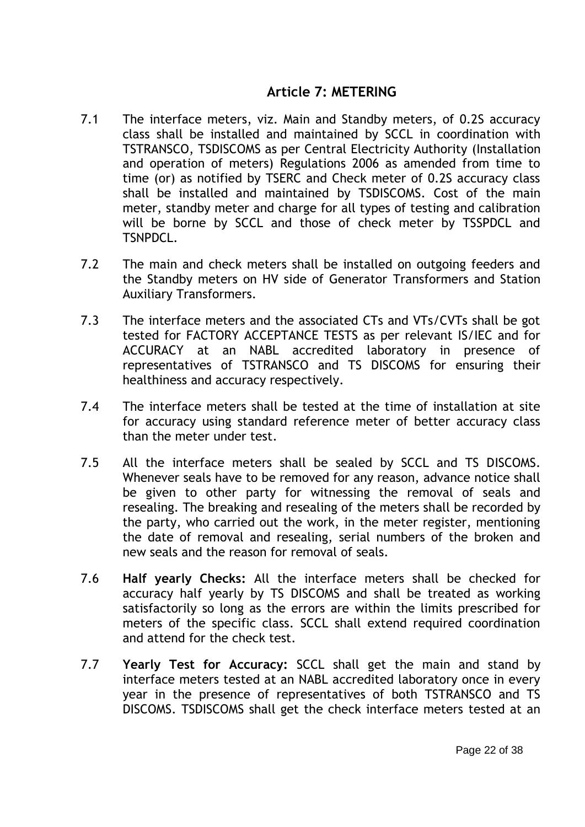## **Article 7: METERING**

- 7.1 The interface meters, viz. Main and Standby meters, of 0.2S accuracy class shall be installed and maintained by SCCL in coordination with TSTRANSCO, TSDISCOMS as per Central Electricity Authority (Installation and operation of meters) Regulations 2006 as amended from time to time (or) as notified by TSERC and Check meter of 0.2S accuracy class shall be installed and maintained by TSDISCOMS. Cost of the main meter, standby meter and charge for all types of testing and calibration will be borne by SCCL and those of check meter by TSSPDCL and TSNPDCL.
- 7.2 The main and check meters shall be installed on outgoing feeders and the Standby meters on HV side of Generator Transformers and Station Auxiliary Transformers.
- 7.3 The interface meters and the associated CTs and VTs/CVTs shall be got tested for FACTORY ACCEPTANCE TESTS as per relevant IS/IEC and for ACCURACY at an NABL accredited laboratory in presence of representatives of TSTRANSCO and TS DISCOMS for ensuring their healthiness and accuracy respectively.
- 7.4 The interface meters shall be tested at the time of installation at site for accuracy using standard reference meter of better accuracy class than the meter under test.
- 7.5 All the interface meters shall be sealed by SCCL and TS DISCOMS. Whenever seals have to be removed for any reason, advance notice shall be given to other party for witnessing the removal of seals and resealing. The breaking and resealing of the meters shall be recorded by the party, who carried out the work, in the meter register, mentioning the date of removal and resealing, serial numbers of the broken and new seals and the reason for removal of seals.
- 7.6 **Half yearly Checks:** All the interface meters shall be checked for accuracy half yearly by TS DISCOMS and shall be treated as working satisfactorily so long as the errors are within the limits prescribed for meters of the specific class. SCCL shall extend required coordination and attend for the check test.
- 7.7 **Yearly Test for Accuracy:** SCCL shall get the main and stand by interface meters tested at an NABL accredited laboratory once in every year in the presence of representatives of both TSTRANSCO and TS DISCOMS. TSDISCOMS shall get the check interface meters tested at an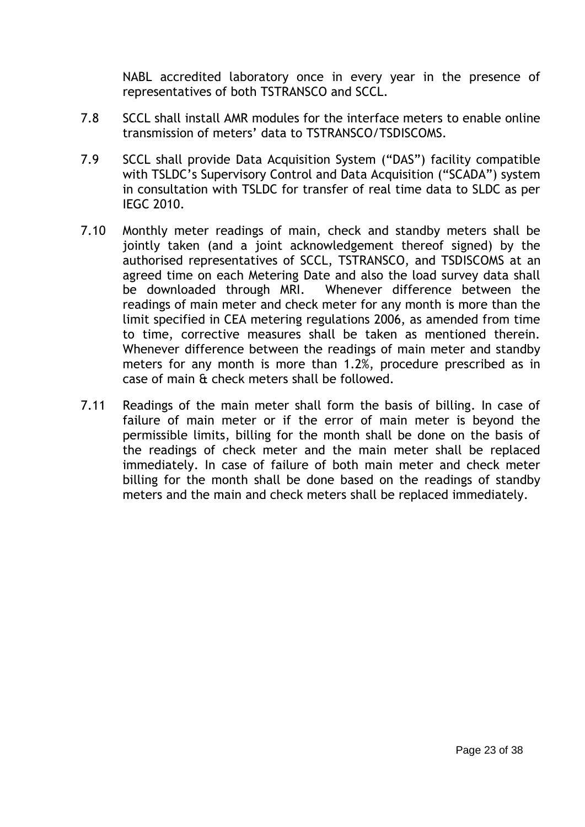NABL accredited laboratory once in every year in the presence of representatives of both TSTRANSCO and SCCL.

- 7.8 SCCL shall install AMR modules for the interface meters to enable online transmission of meters" data to TSTRANSCO/TSDISCOMS.
- 7.9 SCCL shall provide Data Acquisition System ("DAS") facility compatible with TSLDC"s Supervisory Control and Data Acquisition ("SCADA") system in consultation with TSLDC for transfer of real time data to SLDC as per IEGC 2010.
- 7.10 Monthly meter readings of main, check and standby meters shall be jointly taken (and a joint acknowledgement thereof signed) by the authorised representatives of SCCL, TSTRANSCO, and TSDISCOMS at an agreed time on each Metering Date and also the load survey data shall be downloaded through MRI. Whenever difference between the readings of main meter and check meter for any month is more than the limit specified in CEA metering regulations 2006, as amended from time to time, corrective measures shall be taken as mentioned therein. Whenever difference between the readings of main meter and standby meters for any month is more than 1.2%, procedure prescribed as in case of main & check meters shall be followed.
- 7.11 Readings of the main meter shall form the basis of billing. In case of failure of main meter or if the error of main meter is beyond the permissible limits, billing for the month shall be done on the basis of the readings of check meter and the main meter shall be replaced immediately. In case of failure of both main meter and check meter billing for the month shall be done based on the readings of standby meters and the main and check meters shall be replaced immediately.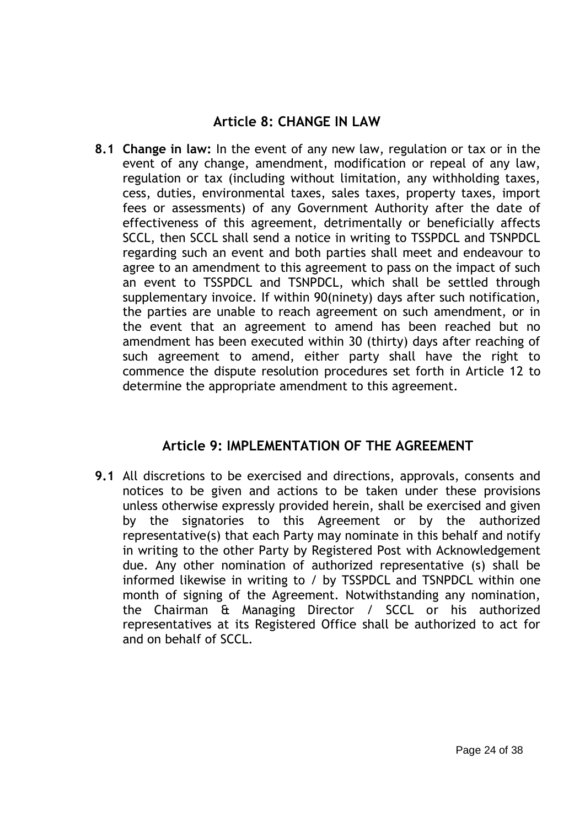# **Article 8: CHANGE IN LAW**

**8.1 Change in law:** In the event of any new law, regulation or tax or in the event of any change, amendment, modification or repeal of any law, regulation or tax (including without limitation, any withholding taxes, cess, duties, environmental taxes, sales taxes, property taxes, import fees or assessments) of any Government Authority after the date of effectiveness of this agreement, detrimentally or beneficially affects SCCL, then SCCL shall send a notice in writing to TSSPDCL and TSNPDCL regarding such an event and both parties shall meet and endeavour to agree to an amendment to this agreement to pass on the impact of such an event to TSSPDCL and TSNPDCL, which shall be settled through supplementary invoice. If within 90(ninety) days after such notification, the parties are unable to reach agreement on such amendment, or in the event that an agreement to amend has been reached but no amendment has been executed within 30 (thirty) days after reaching of such agreement to amend, either party shall have the right to commence the dispute resolution procedures set forth in Article 12 to determine the appropriate amendment to this agreement.

## **Article 9: IMPLEMENTATION OF THE AGREEMENT**

**9.1** All discretions to be exercised and directions, approvals, consents and notices to be given and actions to be taken under these provisions unless otherwise expressly provided herein, shall be exercised and given by the signatories to this Agreement or by the authorized representative(s) that each Party may nominate in this behalf and notify in writing to the other Party by Registered Post with Acknowledgement due. Any other nomination of authorized representative (s) shall be informed likewise in writing to / by TSSPDCL and TSNPDCL within one month of signing of the Agreement. Notwithstanding any nomination, the Chairman & Managing Director / SCCL or his authorized representatives at its Registered Office shall be authorized to act for and on behalf of SCCL.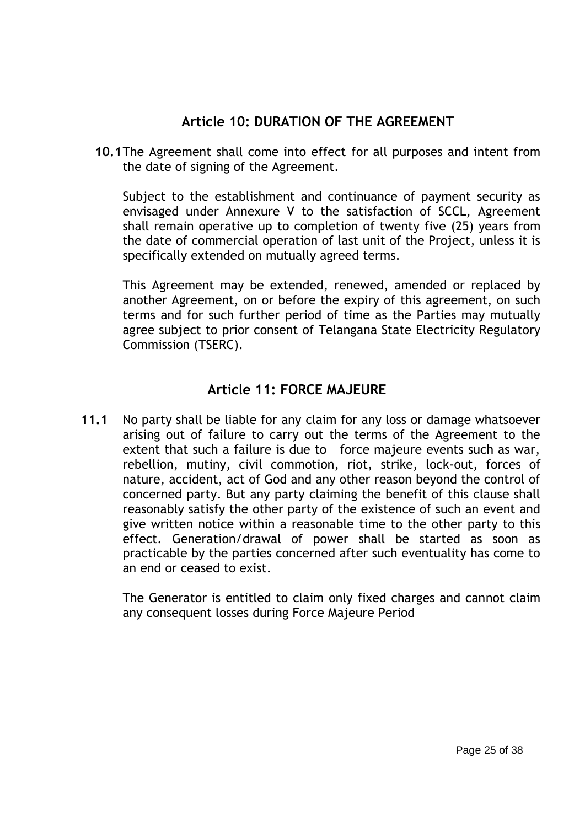# **Article 10: DURATION OF THE AGREEMENT**

**10.1**The Agreement shall come into effect for all purposes and intent from the date of signing of the Agreement.

Subject to the establishment and continuance of payment security as envisaged under Annexure V to the satisfaction of SCCL, Agreement shall remain operative up to completion of twenty five (25) years from the date of commercial operation of last unit of the Project, unless it is specifically extended on mutually agreed terms.

This Agreement may be extended, renewed, amended or replaced by another Agreement, on or before the expiry of this agreement, on such terms and for such further period of time as the Parties may mutually agree subject to prior consent of Telangana State Electricity Regulatory Commission (TSERC).

# **Article 11: FORCE MAJEURE**

**11.1** No party shall be liable for any claim for any loss or damage whatsoever arising out of failure to carry out the terms of the Agreement to the extent that such a failure is due to force majeure events such as war, rebellion, mutiny, civil commotion, riot, strike, lock-out, forces of nature, accident, act of God and any other reason beyond the control of concerned party. But any party claiming the benefit of this clause shall reasonably satisfy the other party of the existence of such an event and give written notice within a reasonable time to the other party to this effect. Generation/drawal of power shall be started as soon as practicable by the parties concerned after such eventuality has come to an end or ceased to exist.

The Generator is entitled to claim only fixed charges and cannot claim any consequent losses during Force Majeure Period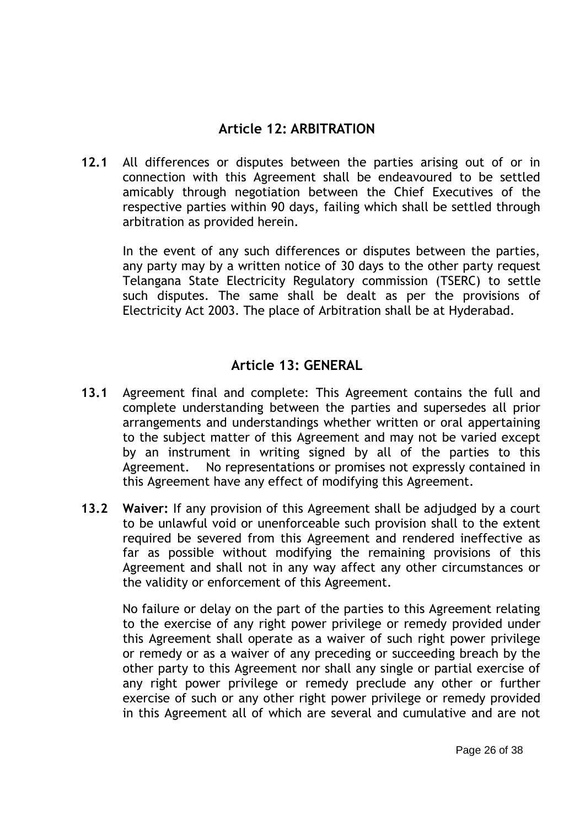# **Article 12: ARBITRATION**

**12.1** All differences or disputes between the parties arising out of or in connection with this Agreement shall be endeavoured to be settled amicably through negotiation between the Chief Executives of the respective parties within 90 days, failing which shall be settled through arbitration as provided herein.

In the event of any such differences or disputes between the parties, any party may by a written notice of 30 days to the other party request Telangana State Electricity Regulatory commission (TSERC) to settle such disputes. The same shall be dealt as per the provisions of Electricity Act 2003. The place of Arbitration shall be at Hyderabad.

## **Article 13: GENERAL**

- **13.1** Agreement final and complete: This Agreement contains the full and complete understanding between the parties and supersedes all prior arrangements and understandings whether written or oral appertaining to the subject matter of this Agreement and may not be varied except by an instrument in writing signed by all of the parties to this Agreement. No representations or promises not expressly contained in this Agreement have any effect of modifying this Agreement.
- **13.2 Waiver:** If any provision of this Agreement shall be adjudged by a court to be unlawful void or unenforceable such provision shall to the extent required be severed from this Agreement and rendered ineffective as far as possible without modifying the remaining provisions of this Agreement and shall not in any way affect any other circumstances or the validity or enforcement of this Agreement.

No failure or delay on the part of the parties to this Agreement relating to the exercise of any right power privilege or remedy provided under this Agreement shall operate as a waiver of such right power privilege or remedy or as a waiver of any preceding or succeeding breach by the other party to this Agreement nor shall any single or partial exercise of any right power privilege or remedy preclude any other or further exercise of such or any other right power privilege or remedy provided in this Agreement all of which are several and cumulative and are not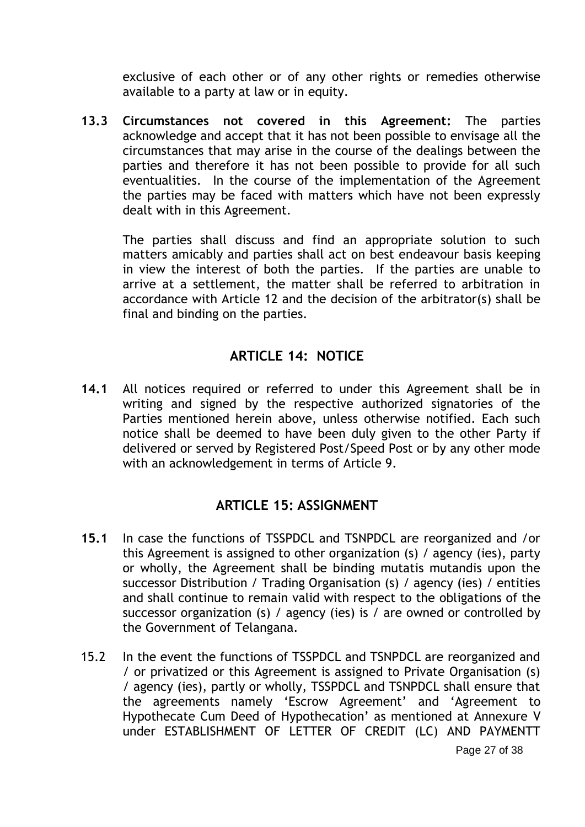exclusive of each other or of any other rights or remedies otherwise available to a party at law or in equity.

**13.3 Circumstances not covered in this Agreement:** The parties acknowledge and accept that it has not been possible to envisage all the circumstances that may arise in the course of the dealings between the parties and therefore it has not been possible to provide for all such eventualities. In the course of the implementation of the Agreement the parties may be faced with matters which have not been expressly dealt with in this Agreement.

The parties shall discuss and find an appropriate solution to such matters amicably and parties shall act on best endeavour basis keeping in view the interest of both the parties. If the parties are unable to arrive at a settlement, the matter shall be referred to arbitration in accordance with Article 12 and the decision of the arbitrator(s) shall be final and binding on the parties.

## **ARTICLE 14: NOTICE**

**14.1** All notices required or referred to under this Agreement shall be in writing and signed by the respective authorized signatories of the Parties mentioned herein above, unless otherwise notified. Each such notice shall be deemed to have been duly given to the other Party if delivered or served by Registered Post/Speed Post or by any other mode with an acknowledgement in terms of Article 9.

## **ARTICLE 15: ASSIGNMENT**

- **15.1** In case the functions of TSSPDCL and TSNPDCL are reorganized and /or this Agreement is assigned to other organization (s) / agency (ies), party or wholly, the Agreement shall be binding mutatis mutandis upon the successor Distribution / Trading Organisation (s) / agency (ies) / entities and shall continue to remain valid with respect to the obligations of the successor organization (s) / agency (ies) is / are owned or controlled by the Government of Telangana.
- 15.2 In the event the functions of TSSPDCL and TSNPDCL are reorganized and / or privatized or this Agreement is assigned to Private Organisation (s) / agency (ies), partly or wholly, TSSPDCL and TSNPDCL shall ensure that the agreements namely "Escrow Agreement" and "Agreement to Hypothecate Cum Deed of Hypothecation" as mentioned at Annexure V under ESTABLISHMENT OF LETTER OF CREDIT (LC) AND PAYMENTT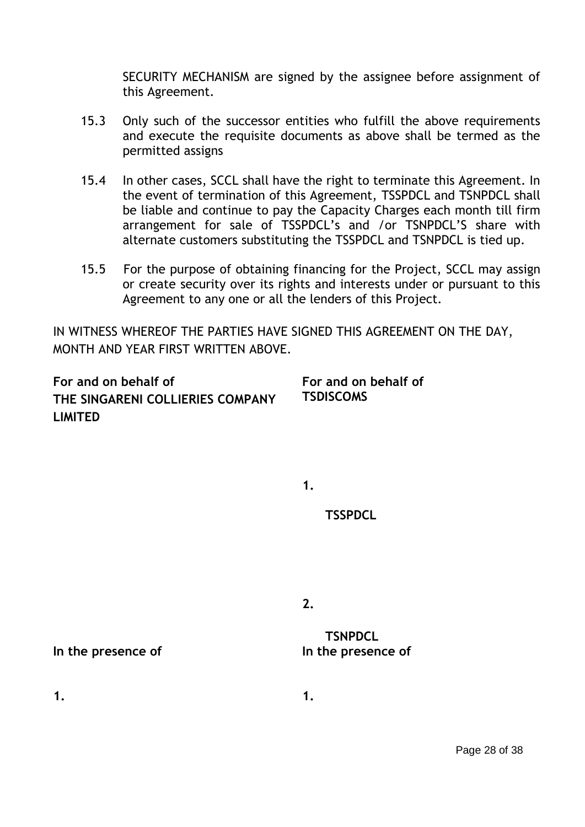SECURITY MECHANISM are signed by the assignee before assignment of this Agreement.

- 15.3 Only such of the successor entities who fulfill the above requirements and execute the requisite documents as above shall be termed as the permitted assigns
- 15.4 In other cases, SCCL shall have the right to terminate this Agreement. In the event of termination of this Agreement, TSSPDCL and TSNPDCL shall be liable and continue to pay the Capacity Charges each month till firm arrangement for sale of TSSPDCL"s and /or TSNPDCL"S share with alternate customers substituting the TSSPDCL and TSNPDCL is tied up.
- 15.5 For the purpose of obtaining financing for the Project, SCCL may assign or create security over its rights and interests under or pursuant to this Agreement to any one or all the lenders of this Project.

IN WITNESS WHEREOF THE PARTIES HAVE SIGNED THIS AGREEMENT ON THE DAY, MONTH AND YEAR FIRST WRITTEN ABOVE.

**For and on behalf of THE SINGARENI COLLIERIES COMPANY LIMITED For and on behalf of TSDISCOMS**

**1.** 

 **TSSPDCL**

**2.**

 **TSNPDCL**

In the presence of **In the presence of** 

**1. 1.**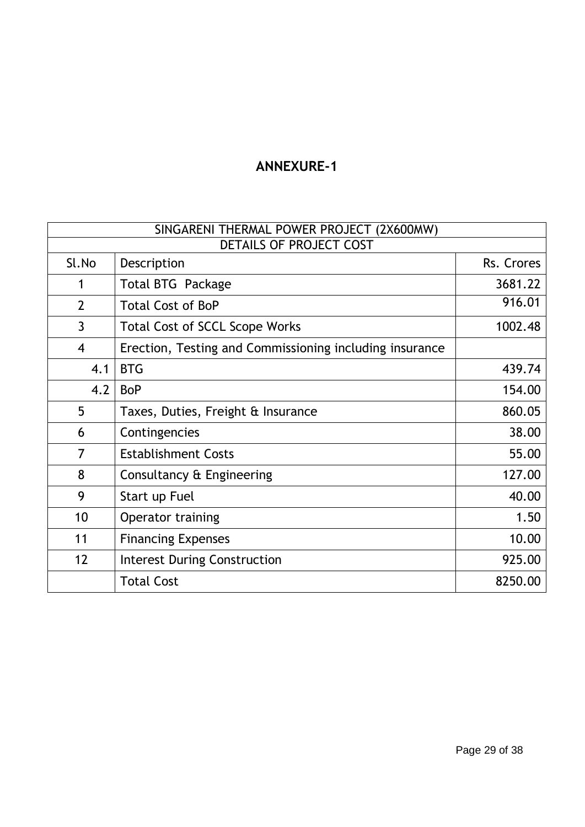# **ANNEXURE-1**

| SINGARENI THERMAL POWER PROJECT (2X600MW) |                                                         |            |  |  |  |
|-------------------------------------------|---------------------------------------------------------|------------|--|--|--|
| DETAILS OF PROJECT COST                   |                                                         |            |  |  |  |
| Sl.No                                     | Description                                             | Rs. Crores |  |  |  |
| 1                                         | <b>Total BTG Package</b>                                | 3681.22    |  |  |  |
| $\overline{2}$                            | <b>Total Cost of BoP</b>                                |            |  |  |  |
| $\mathsf{3}$                              | <b>Total Cost of SCCL Scope Works</b>                   | 1002.48    |  |  |  |
| $\overline{4}$                            | Erection, Testing and Commissioning including insurance |            |  |  |  |
| 4.1                                       | <b>BTG</b>                                              | 439.74     |  |  |  |
| 4.2                                       | <b>BoP</b>                                              | 154.00     |  |  |  |
| 5                                         | Taxes, Duties, Freight & Insurance                      | 860.05     |  |  |  |
| 6                                         | Contingencies                                           | 38.00      |  |  |  |
| 7                                         | <b>Establishment Costs</b>                              | 55.00      |  |  |  |
| 8                                         | Consultancy & Engineering                               | 127.00     |  |  |  |
| 9                                         | Start up Fuel                                           | 40.00      |  |  |  |
| 10                                        | Operator training                                       | 1.50       |  |  |  |
| 11                                        | <b>Financing Expenses</b>                               | 10.00      |  |  |  |
| 12                                        | <b>Interest During Construction</b>                     | 925.00     |  |  |  |
|                                           | <b>Total Cost</b>                                       | 8250.00    |  |  |  |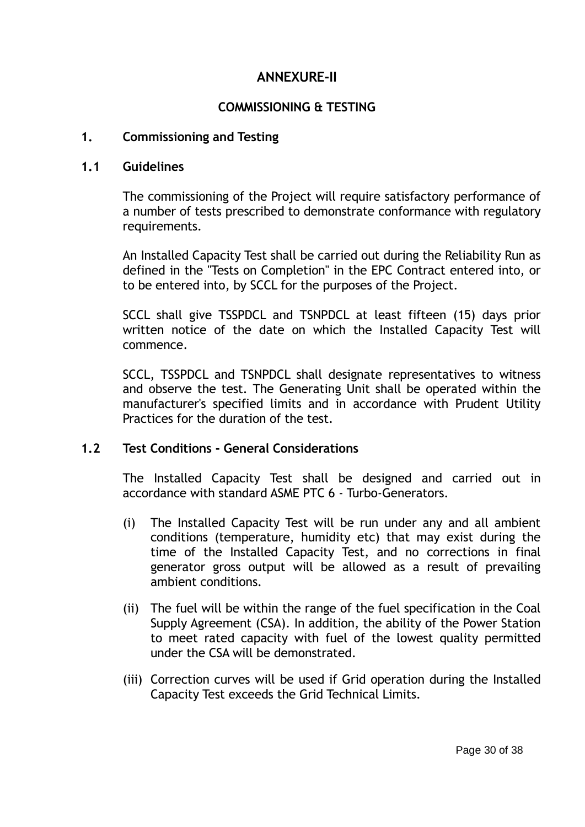## **ANNEXURE-II**

### **COMMISSIONING & TESTING**

#### **1. Commissioning and Testing**

#### **1.1 Guidelines**

The commissioning of the Project will require satisfactory performance of a number of tests prescribed to demonstrate conformance with regulatory requirements.

An Installed Capacity Test shall be carried out during the Reliability Run as defined in the "Tests on Completion" in the EPC Contract entered into, or to be entered into, by SCCL for the purposes of the Project.

SCCL shall give TSSPDCL and TSNPDCL at least fifteen (15) days prior written notice of the date on which the Installed Capacity Test will commence.

SCCL, TSSPDCL and TSNPDCL shall designate representatives to witness and observe the test. The Generating Unit shall be operated within the manufacturer's specified limits and in accordance with Prudent Utility Practices for the duration of the test.

### **1.2 Test Conditions - General Considerations**

The Installed Capacity Test shall be designed and carried out in accordance with standard ASME PTC 6 - Turbo-Generators.

- (i) The Installed Capacity Test will be run under any and all ambient conditions (temperature, humidity etc) that may exist during the time of the Installed Capacity Test, and no corrections in final generator gross output will be allowed as a result of prevailing ambient conditions.
- (ii) The fuel will be within the range of the fuel specification in the Coal Supply Agreement (CSA). In addition, the ability of the Power Station to meet rated capacity with fuel of the lowest quality permitted under the CSA will be demonstrated.
- (iii) Correction curves will be used if Grid operation during the Installed Capacity Test exceeds the Grid Technical Limits.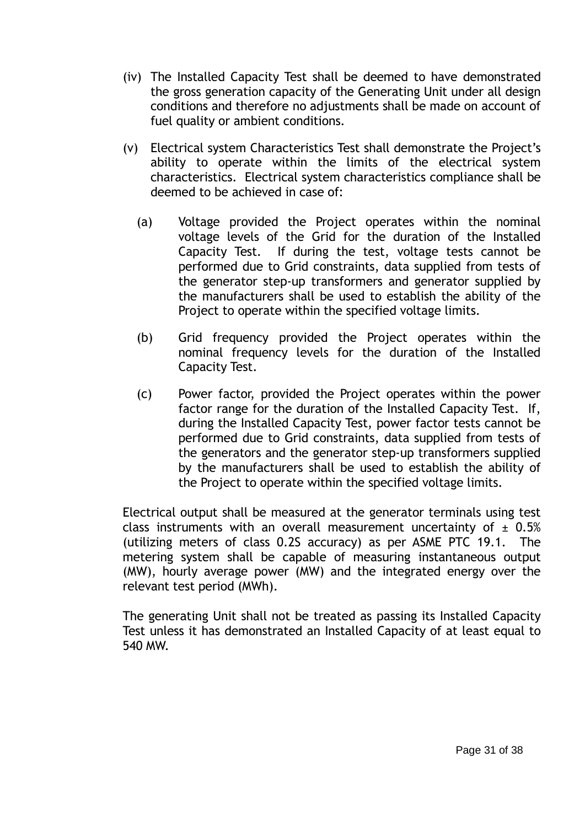- (iv) The Installed Capacity Test shall be deemed to have demonstrated the gross generation capacity of the Generating Unit under all design conditions and therefore no adjustments shall be made on account of fuel quality or ambient conditions.
- (v) Electrical system Characteristics Test shall demonstrate the Project"s ability to operate within the limits of the electrical system characteristics. Electrical system characteristics compliance shall be deemed to be achieved in case of:
	- (a) Voltage provided the Project operates within the nominal voltage levels of the Grid for the duration of the Installed Capacity Test. If during the test, voltage tests cannot be performed due to Grid constraints, data supplied from tests of the generator step-up transformers and generator supplied by the manufacturers shall be used to establish the ability of the Project to operate within the specified voltage limits.
	- (b) Grid frequency provided the Project operates within the nominal frequency levels for the duration of the Installed Capacity Test.
	- (c) Power factor, provided the Project operates within the power factor range for the duration of the Installed Capacity Test. If, during the Installed Capacity Test, power factor tests cannot be performed due to Grid constraints, data supplied from tests of the generators and the generator step-up transformers supplied by the manufacturers shall be used to establish the ability of the Project to operate within the specified voltage limits.

Electrical output shall be measured at the generator terminals using test class instruments with an overall measurement uncertainty of  $\pm$  0.5% (utilizing meters of class 0.2S accuracy) as per ASME PTC 19.1. The metering system shall be capable of measuring instantaneous output (MW), hourly average power (MW) and the integrated energy over the relevant test period (MWh).

The generating Unit shall not be treated as passing its Installed Capacity Test unless it has demonstrated an Installed Capacity of at least equal to 540 MW.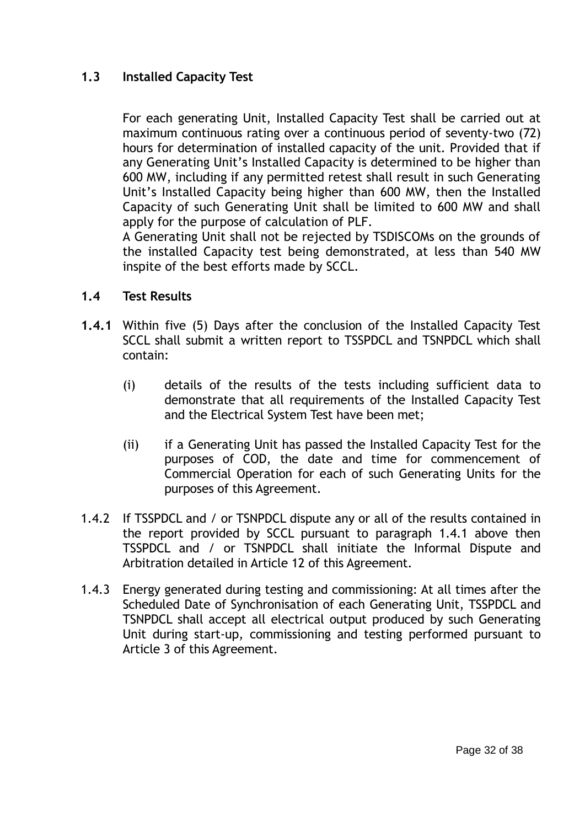### **1.3 Installed Capacity Test**

For each generating Unit, Installed Capacity Test shall be carried out at maximum continuous rating over a continuous period of seventy-two (72) hours for determination of installed capacity of the unit. Provided that if any Generating Unit's Installed Capacity is determined to be higher than 600 MW, including if any permitted retest shall result in such Generating Unit"s Installed Capacity being higher than 600 MW, then the Installed Capacity of such Generating Unit shall be limited to 600 MW and shall apply for the purpose of calculation of PLF.

A Generating Unit shall not be rejected by TSDISCOMs on the grounds of the installed Capacity test being demonstrated, at less than 540 MW inspite of the best efforts made by SCCL.

#### **1.4 Test Results**

- **1.4.1** Within five (5) Days after the conclusion of the Installed Capacity Test SCCL shall submit a written report to TSSPDCL and TSNPDCL which shall contain:
	- (i) details of the results of the tests including sufficient data to demonstrate that all requirements of the Installed Capacity Test and the Electrical System Test have been met;
	- (ii) if a Generating Unit has passed the Installed Capacity Test for the purposes of COD, the date and time for commencement of Commercial Operation for each of such Generating Units for the purposes of this Agreement.
- 1.4.2 If TSSPDCL and / or TSNPDCL dispute any or all of the results contained in the report provided by SCCL pursuant to paragraph 1.4.1 above then TSSPDCL and / or TSNPDCL shall initiate the Informal Dispute and Arbitration detailed in Article 12 of this Agreement.
- 1.4.3 Energy generated during testing and commissioning: At all times after the Scheduled Date of Synchronisation of each Generating Unit, TSSPDCL and TSNPDCL shall accept all electrical output produced by such Generating Unit during start-up, commissioning and testing performed pursuant to Article 3 of this Agreement.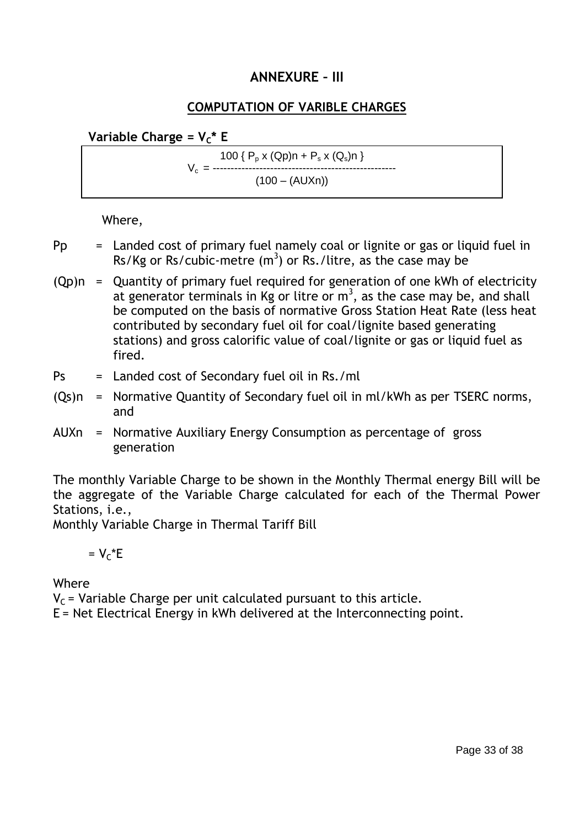## **ANNEXURE – III**

### **COMPUTATION OF VARIBLE CHARGES**

**Variable Charge =**  $V_c^*$  **E** 

100 {  $P_p x (Qp) n + P_s x (Q_s) n$  } V<sup>c</sup> = ---------------------------------------------------  $(100 - (AUXn))$ 

Where,

- $Pp =$  Landed cost of primary fuel namely coal or lignite or gas or liquid fuel in Rs/Kg or Rs/cubic-metre  $(m^3)$  or Rs./litre, as the case may be
- $(Qp)n =$  Quantity of primary fuel required for generation of one kWh of electricity at generator terminals in Kg or litre or  $m<sup>3</sup>$ , as the case may be, and shall be computed on the basis of normative Gross Station Heat Rate (less heat contributed by secondary fuel oil for coal/lignite based generating stations) and gross calorific value of coal/lignite or gas or liquid fuel as fired.
- Ps = Landed cost of Secondary fuel oil in Rs./ml
- (Qs)n = Normative Quantity of Secondary fuel oil in ml/kWh as per TSERC norms, and
- AUXn = Normative Auxiliary Energy Consumption as percentage of gross generation

The monthly Variable Charge to be shown in the Monthly Thermal energy Bill will be the aggregate of the Variable Charge calculated for each of the Thermal Power Stations, i.e.,

Monthly Variable Charge in Thermal Tariff Bill

# $= V<sub>c</sub> * E$

Where

 $V_c$  = Variable Charge per unit calculated pursuant to this article.

E = Net Electrical Energy in kWh delivered at the Interconnecting point.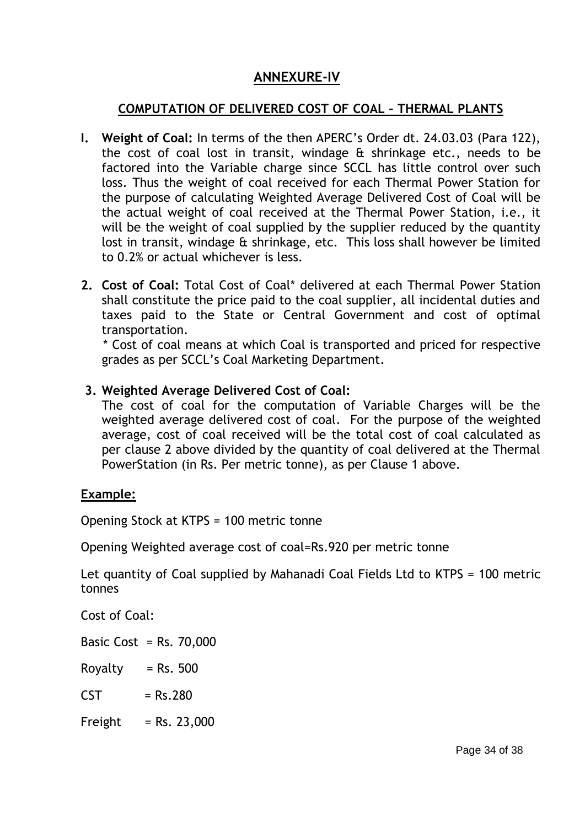# **ANNEXURE-IV**

### **COMPUTATION OF DELIVERED COST OF COAL – THERMAL PLANTS**

- **I. Weight of Coal:** In terms of the then APERC"s Order dt. 24.03.03 (Para 122), the cost of coal lost in transit, windage & shrinkage etc., needs to be factored into the Variable charge since SCCL has little control over such loss. Thus the weight of coal received for each Thermal Power Station for the purpose of calculating Weighted Average Delivered Cost of Coal will be the actual weight of coal received at the Thermal Power Station, i.e., it will be the weight of coal supplied by the supplier reduced by the quantity lost in transit, windage & shrinkage, etc. This loss shall however be limited to 0.2% or actual whichever is less.
- **2. Cost of Coal:** Total Cost of Coal\* delivered at each Thermal Power Station shall constitute the price paid to the coal supplier, all incidental duties and taxes paid to the State or Central Government and cost of optimal transportation.

 \* Cost of coal means at which Coal is transported and priced for respective grades as per SCCL"s Coal Marketing Department.

### **3. Weighted Average Delivered Cost of Coal:**

The cost of coal for the computation of Variable Charges will be the weighted average delivered cost of coal. For the purpose of the weighted average, cost of coal received will be the total cost of coal calculated as per clause 2 above divided by the quantity of coal delivered at the Thermal PowerStation (in Rs. Per metric tonne), as per Clause 1 above.

### **Example:**

Opening Stock at KTPS = 100 metric tonne

Opening Weighted average cost of coal=Rs.920 per metric tonne

Let quantity of Coal supplied by Mahanadi Coal Fields Ltd to KTPS = 100 metric tonnes

Cost of Coal:

Basic Cost =  $Rs. 70,000$ 

Royalty  $=$  Rs. 500

- $CST = Rs.280$
- Freight  $=$  Rs. 23,000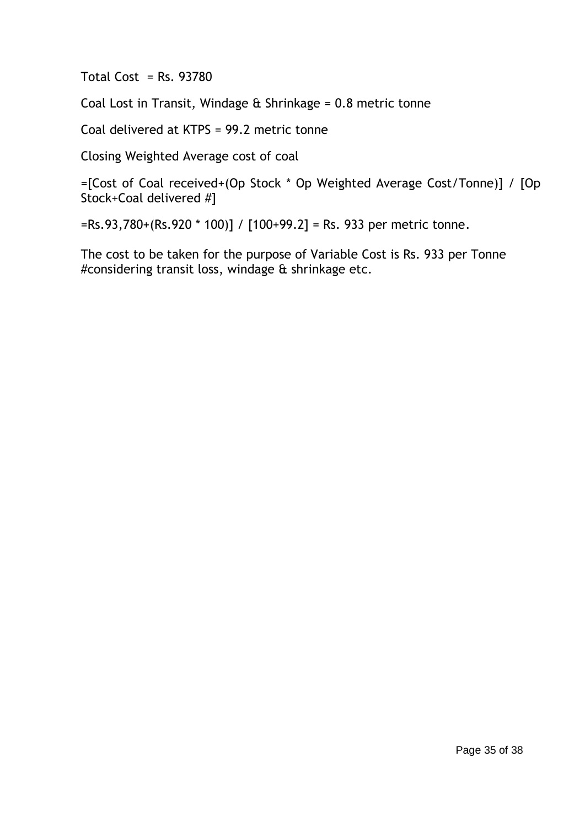Total Cost =  $Rs. 93780$ 

Coal Lost in Transit, Windage  $\hat{\alpha}$  Shrinkage = 0.8 metric tonne

Coal delivered at KTPS = 99.2 metric tonne

Closing Weighted Average cost of coal

=[Cost of Coal received+(Op Stock \* Op Weighted Average Cost/Tonne)] / [Op Stock+Coal delivered #]

 $=$ Rs.93,780+(Rs.920 \* 100)] / [100+99.2] = Rs. 933 per metric tonne.

The cost to be taken for the purpose of Variable Cost is Rs. 933 per Tonne #considering transit loss, windage & shrinkage etc.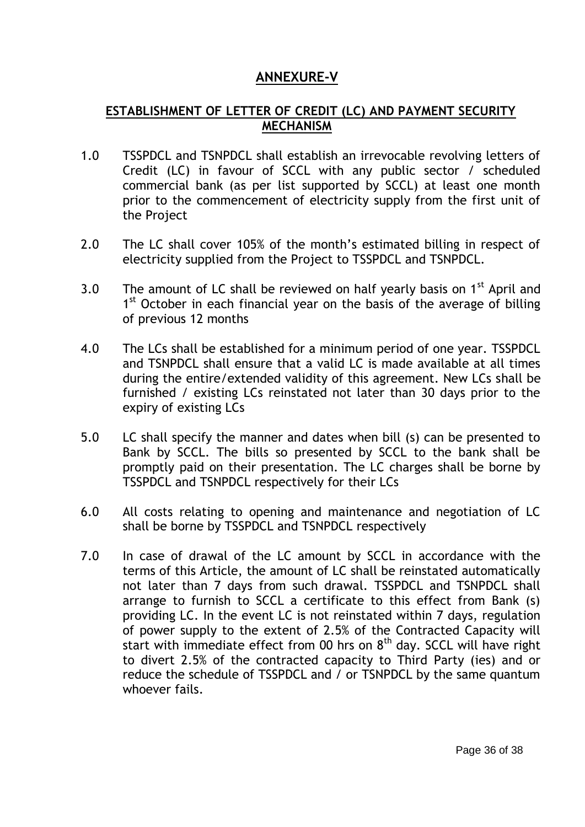# **ANNEXURE-V**

### **ESTABLISHMENT OF LETTER OF CREDIT (LC) AND PAYMENT SECURITY MECHANISM**

- 1.0 TSSPDCL and TSNPDCL shall establish an irrevocable revolving letters of Credit (LC) in favour of SCCL with any public sector / scheduled commercial bank (as per list supported by SCCL) at least one month prior to the commencement of electricity supply from the first unit of the Project
- 2.0 The LC shall cover 105% of the month's estimated billing in respect of electricity supplied from the Project to TSSPDCL and TSNPDCL.
- 3.0 The amount of LC shall be reviewed on half yearly basis on  $1<sup>st</sup>$  April and 1<sup>st</sup> October in each financial year on the basis of the average of billing of previous 12 months
- 4.0 The LCs shall be established for a minimum period of one year. TSSPDCL and TSNPDCL shall ensure that a valid LC is made available at all times during the entire/extended validity of this agreement. New LCs shall be furnished / existing LCs reinstated not later than 30 days prior to the expiry of existing LCs
- 5.0 LC shall specify the manner and dates when bill (s) can be presented to Bank by SCCL. The bills so presented by SCCL to the bank shall be promptly paid on their presentation. The LC charges shall be borne by TSSPDCL and TSNPDCL respectively for their LCs
- 6.0 All costs relating to opening and maintenance and negotiation of LC shall be borne by TSSPDCL and TSNPDCL respectively
- 7.0 In case of drawal of the LC amount by SCCL in accordance with the terms of this Article, the amount of LC shall be reinstated automatically not later than 7 days from such drawal. TSSPDCL and TSNPDCL shall arrange to furnish to SCCL a certificate to this effect from Bank (s) providing LC. In the event LC is not reinstated within 7 days, regulation of power supply to the extent of 2.5% of the Contracted Capacity will start with immediate effect from 00 hrs on  $8<sup>th</sup>$  day. SCCL will have right to divert 2.5% of the contracted capacity to Third Party (ies) and or reduce the schedule of TSSPDCL and / or TSNPDCL by the same quantum whoever fails.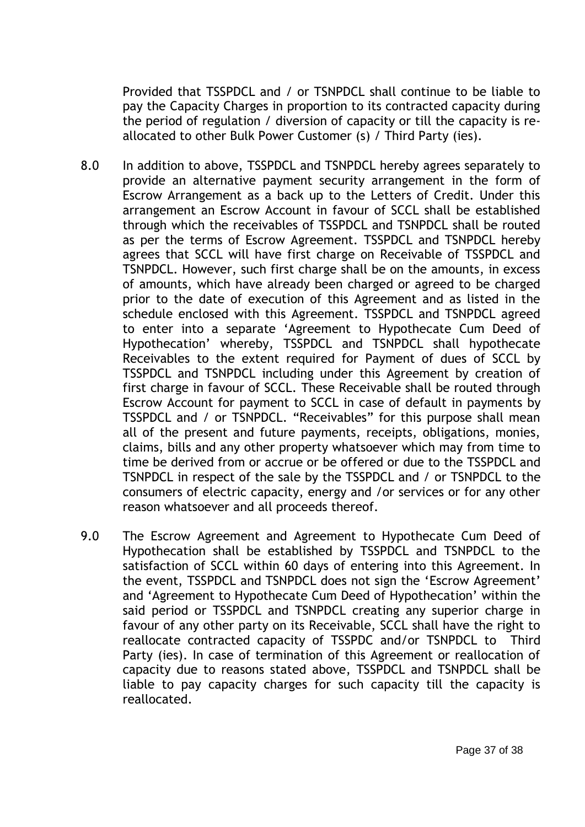Provided that TSSPDCL and / or TSNPDCL shall continue to be liable to pay the Capacity Charges in proportion to its contracted capacity during the period of regulation / diversion of capacity or till the capacity is reallocated to other Bulk Power Customer (s) / Third Party (ies).

- 8.0 In addition to above, TSSPDCL and TSNPDCL hereby agrees separately to provide an alternative payment security arrangement in the form of Escrow Arrangement as a back up to the Letters of Credit. Under this arrangement an Escrow Account in favour of SCCL shall be established through which the receivables of TSSPDCL and TSNPDCL shall be routed as per the terms of Escrow Agreement. TSSPDCL and TSNPDCL hereby agrees that SCCL will have first charge on Receivable of TSSPDCL and TSNPDCL. However, such first charge shall be on the amounts, in excess of amounts, which have already been charged or agreed to be charged prior to the date of execution of this Agreement and as listed in the schedule enclosed with this Agreement. TSSPDCL and TSNPDCL agreed to enter into a separate "Agreement to Hypothecate Cum Deed of Hypothecation" whereby, TSSPDCL and TSNPDCL shall hypothecate Receivables to the extent required for Payment of dues of SCCL by TSSPDCL and TSNPDCL including under this Agreement by creation of first charge in favour of SCCL. These Receivable shall be routed through Escrow Account for payment to SCCL in case of default in payments by TSSPDCL and / or TSNPDCL. "Receivables" for this purpose shall mean all of the present and future payments, receipts, obligations, monies, claims, bills and any other property whatsoever which may from time to time be derived from or accrue or be offered or due to the TSSPDCL and TSNPDCL in respect of the sale by the TSSPDCL and / or TSNPDCL to the consumers of electric capacity, energy and /or services or for any other reason whatsoever and all proceeds thereof.
- 9.0 The Escrow Agreement and Agreement to Hypothecate Cum Deed of Hypothecation shall be established by TSSPDCL and TSNPDCL to the satisfaction of SCCL within 60 days of entering into this Agreement. In the event, TSSPDCL and TSNPDCL does not sign the "Escrow Agreement" and "Agreement to Hypothecate Cum Deed of Hypothecation" within the said period or TSSPDCL and TSNPDCL creating any superior charge in favour of any other party on its Receivable, SCCL shall have the right to reallocate contracted capacity of TSSPDC and/or TSNPDCL to Third Party (ies). In case of termination of this Agreement or reallocation of capacity due to reasons stated above, TSSPDCL and TSNPDCL shall be liable to pay capacity charges for such capacity till the capacity is reallocated.